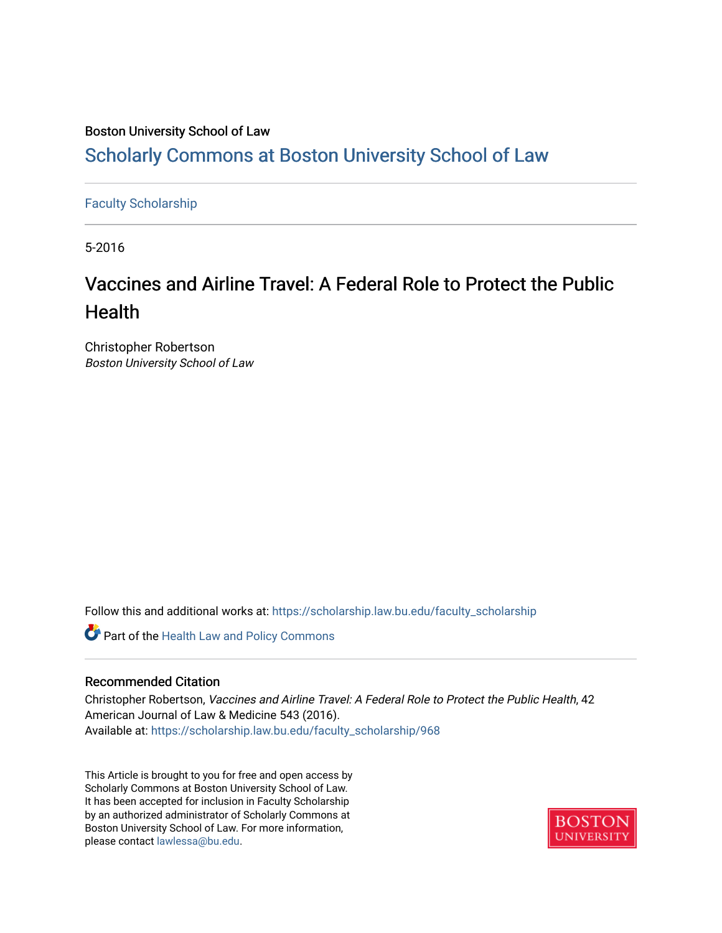# Boston University School of Law

# [Scholarly Commons at Boston University School of Law](https://scholarship.law.bu.edu/)

# [Faculty Scholarship](https://scholarship.law.bu.edu/faculty_scholarship)

5-2016

# Vaccines and Airline Travel: A Federal Role to Protect the Public Health

Christopher Robertson Boston University School of Law

Follow this and additional works at: [https://scholarship.law.bu.edu/faculty\\_scholarship](https://scholarship.law.bu.edu/faculty_scholarship?utm_source=scholarship.law.bu.edu%2Ffaculty_scholarship%2F968&utm_medium=PDF&utm_campaign=PDFCoverPages)

Part of the [Health Law and Policy Commons](http://network.bepress.com/hgg/discipline/901?utm_source=scholarship.law.bu.edu%2Ffaculty_scholarship%2F968&utm_medium=PDF&utm_campaign=PDFCoverPages) 

# Recommended Citation

Christopher Robertson, Vaccines and Airline Travel: A Federal Role to Protect the Public Health, 42 American Journal of Law & Medicine 543 (2016). Available at: [https://scholarship.law.bu.edu/faculty\\_scholarship/968](https://scholarship.law.bu.edu/faculty_scholarship/968?utm_source=scholarship.law.bu.edu%2Ffaculty_scholarship%2F968&utm_medium=PDF&utm_campaign=PDFCoverPages) 

This Article is brought to you for free and open access by Scholarly Commons at Boston University School of Law. It has been accepted for inclusion in Faculty Scholarship by an authorized administrator of Scholarly Commons at Boston University School of Law. For more information, please contact [lawlessa@bu.edu](mailto:lawlessa@bu.edu).

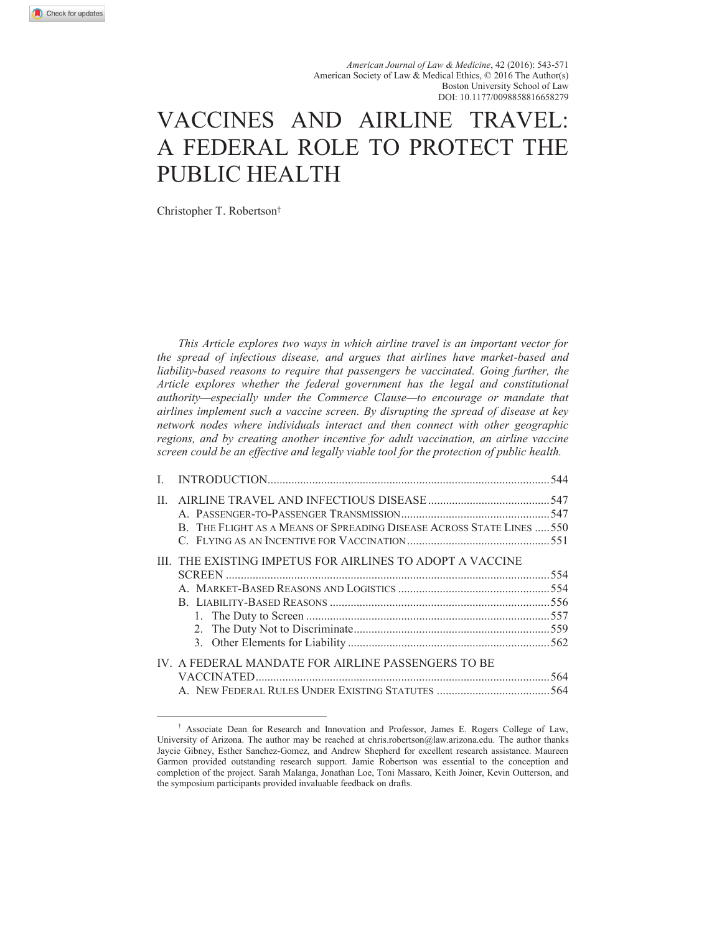*American Journal of Law & Medicine*, 42 (2016): 543-571 American Society of Law & Medical Ethics, © 2016 The Author(s) Boston University School of Law DOI: 10.1177/0098858816658279

# VACCINES AND AIRLINE TRAVEL: A FEDERAL ROLE TO PROTECT THE PUBLIC HEALTH

Christopher T. Robertson†

 $\overline{a}$ 

*This Article explores two ways in which airline travel is an important vector for the spread of infectious disease, and argues that airlines have market-based and liability-based reasons to require that passengers be vaccinated. Going further, the Article explores whether the federal government has the legal and constitutional authority—especially under the Commerce Clause—to encourage or mandate that airlines implement such a vaccine screen. By disrupting the spread of disease at key network nodes where individuals interact and then connect with other geographic regions, and by creating another incentive for adult vaccination, an airline vaccine screen could be an effective and legally viable tool for the protection of public health.* 

| L  |                                                                       | 544 |
|----|-----------------------------------------------------------------------|-----|
| Н. |                                                                       |     |
|    |                                                                       |     |
|    | B. THE FLIGHT AS A MEANS OF SPREADING DISEASE ACROSS STATE LINES  550 |     |
|    |                                                                       |     |
|    | III. THE EXISTING IMPETUS FOR AIRLINES TO ADOPT A VACCINE             |     |
|    |                                                                       |     |
|    |                                                                       |     |
|    |                                                                       |     |
|    |                                                                       |     |
|    |                                                                       |     |
|    |                                                                       |     |
|    | IV. A FEDERAL MANDATE FOR AIRLINE PASSENGERS TO BE                    |     |
|    |                                                                       | 564 |
|    |                                                                       |     |

<sup>†</sup> Associate Dean for Research and Innovation and Professor, James E. Rogers College of Law, University of Arizona. The author may be reached at chris.robertson@law.arizona.edu. The author thanks Jaycie Gibney, Esther Sanchez-Gomez, and Andrew Shepherd for excellent research assistance. Maureen Garmon provided outstanding research support. Jamie Robertson was essential to the conception and completion of the project. Sarah Malanga, Jonathan Loe, Toni Massaro, Keith Joiner, Kevin Outterson, and the symposium participants provided invaluable feedback on drafts.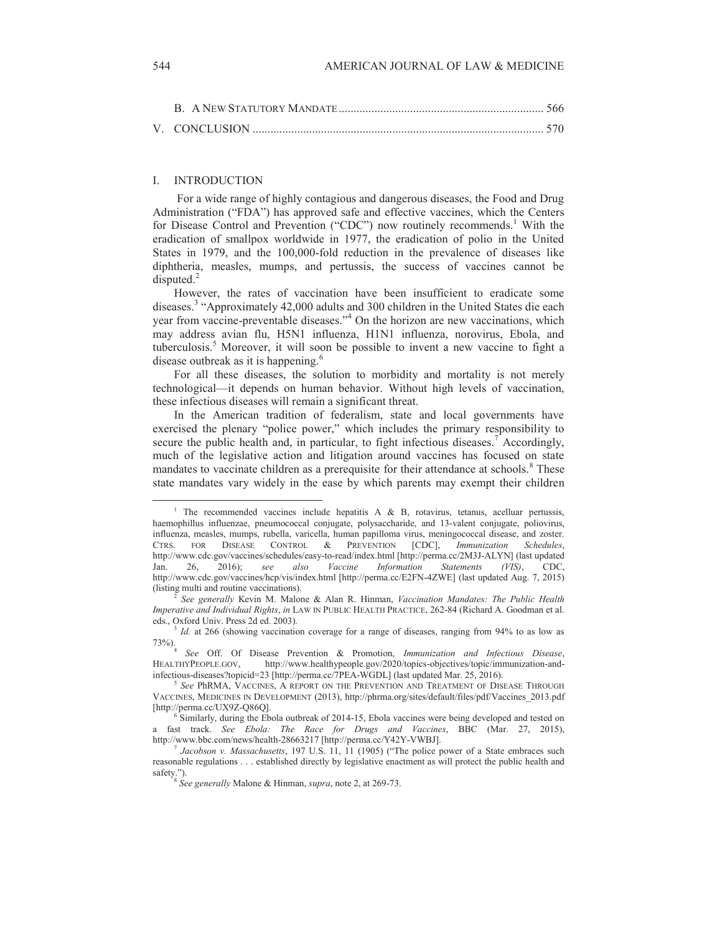#### I. INTRODUCTION

 For a wide range of highly contagious and dangerous diseases, the Food and Drug Administration ("FDA") has approved safe and effective vaccines, which the Centers for Disease Control and Prevention ("CDC") now routinely recommends.<sup>1</sup> With the eradication of smallpox worldwide in 1977, the eradication of polio in the United States in 1979, and the 100,000-fold reduction in the prevalence of diseases like diphtheria, measles, mumps, and pertussis, the success of vaccines cannot be disputed.<sup>2</sup>

However, the rates of vaccination have been insufficient to eradicate some diseases.<sup>3</sup> "Approximately 42,000 adults and 300 children in the United States die each year from vaccine-preventable diseases."<sup>4</sup> On the horizon are new vaccinations, which may address avian flu, H5N1 influenza, H1N1 influenza, norovirus, Ebola, and tuberculosis.<sup>5</sup> Moreover, it will soon be possible to invent a new vaccine to fight a disease outbreak as it is happening.<sup>6</sup>

For all these diseases, the solution to morbidity and mortality is not merely technological—it depends on human behavior. Without high levels of vaccination, these infectious diseases will remain a significant threat.

In the American tradition of federalism, state and local governments have exercised the plenary "police power," which includes the primary responsibility to secure the public health and, in particular, to fight infectious diseases.<sup>7</sup> Accordingly, much of the legislative action and litigation around vaccines has focused on state mandates to vaccinate children as a prerequisite for their attendance at schools.<sup>8</sup> These state mandates vary widely in the ease by which parents may exempt their children

 $\frac{1}{1}$ <sup>1</sup> The recommended vaccines include hepatitis A  $\&$  B, rotavirus, tetanus, acelluar pertussis, haemophillus influenzae, pneumococcal conjugate, polysaccharide, and 13-valent conjugate, poliovirus, influenza, measles, mumps, rubella, varicella, human papilloma virus, meningococcal disease, and zoster. CTRS. FOR DISEASE CONTROL & PREVENTION [CDC], *Immunization Schedules*, http://www.cdc.gov/vaccines/schedules/easy-to-read/index.html [http://perma.cc/2M3J-ALYN] (last updated Jan. 26, 2016); see also Vaccine Information Statements (VIS), CDC, Jan. 26, 2016); *see also Vaccine Information Statements (VIS)*, CDC, http://www.cdc.gov/vaccines/hcp/vis/index.html [http://perma.cc/E2FN-4ZWE] (last updated Aug. 7, 2015) (listing multi and routine vaccinations).

<sup>(</sup>listing multi and routine vaccinations). 2 *See generally* Kevin M. Malone & Alan R. Hinman, *Vaccination Mandates: The Public Health Imperative and Individual Rights*, *in* LAW IN PUBLIC HEALTH PRACTICE, 262-84 (Richard A. Goodman et al. eds., Oxford Univ. Press 2d ed. 2003).

<sup>&</sup>lt;sup>3</sup> *Id.* at 266 (showing vaccination coverage for a range of diseases, ranging from 94% to as low as 73%).

<sup>73%). 4</sup> *See* Off. Of Disease Prevention & Promotion, *Immunization and Infectious Disease*, HEALTHYPEOPLE.GOV, http://www.healthypeople.gov/2020/topics-objectives/topic/immunization-andinfectious-diseases?topicid=23 [http://perma.cc/7PEA-WGDL] (last updated Mar. 25, 2016). 5 *See* PhRMA, VACCINES, A REPORT ON THE PREVENTION AND TREATMENT OF DISEASE THROUGH

VACCINES, MEDICINES IN DEVELOPMENT (2013), http://phrma.org/sites/default/files/pdf/Vaccines\_2013.pdf [http://perma.cc/UX9Z-Q86Q].

<sup>&</sup>lt;sup>6</sup> Similarly, during the Ebola outbreak of 2014-15, Ebola vaccines were being developed and tested on fast track. *See Ebola: The Race for Drugs and Vaccines*, BBC (Mar. 27, 2015), http://www.bbc.com/news/health-28663217 [http://perma.cc/Y42Y-VWBJ].

*Jacobson v. Massachusetts*, 197 U.S. 11, 11 (1905) ("The police power of a State embraces such reasonable regulations . . . established directly by legislative enactment as will protect the public health and safety.").

<sup>8</sup> *See generally* Malone & Hinman, *supra*, note 2, at 269-73.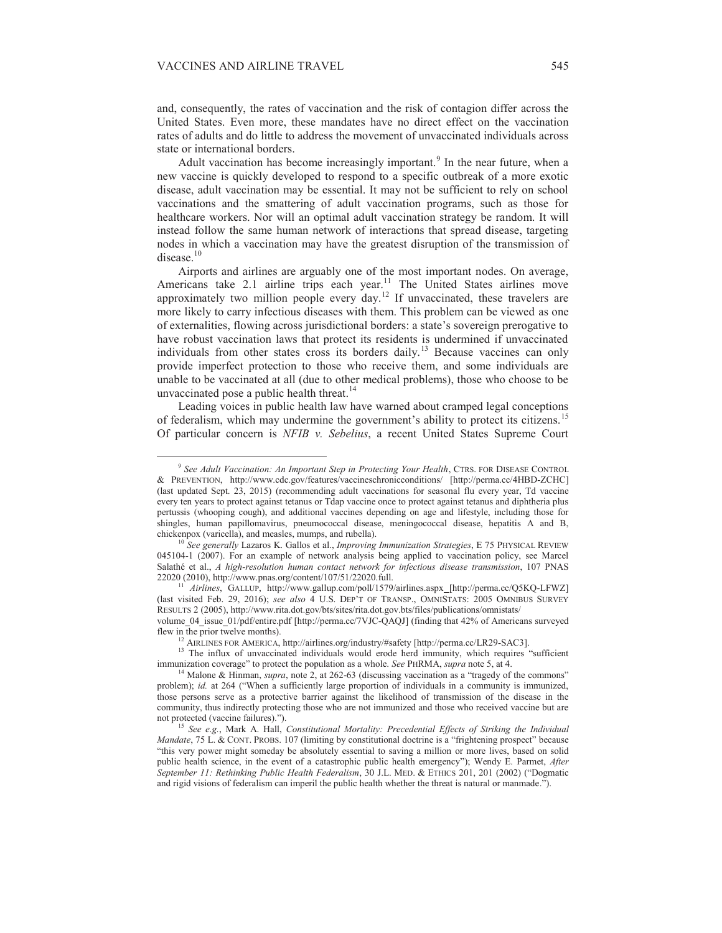and, consequently, the rates of vaccination and the risk of contagion differ across the United States. Even more, these mandates have no direct effect on the vaccination rates of adults and do little to address the movement of unvaccinated individuals across state or international borders.

Adult vaccination has become increasingly important.<sup>9</sup> In the near future, when a new vaccine is quickly developed to respond to a specific outbreak of a more exotic disease, adult vaccination may be essential. It may not be sufficient to rely on school vaccinations and the smattering of adult vaccination programs, such as those for healthcare workers. Nor will an optimal adult vaccination strategy be random. It will instead follow the same human network of interactions that spread disease, targeting nodes in which a vaccination may have the greatest disruption of the transmission of disease.<sup>10</sup>

Airports and airlines are arguably one of the most important nodes. On average, Americans take 2.1 airline trips each year.<sup>11</sup> The United States airlines move approximately two million people every day.<sup>12</sup> If unvaccinated, these travelers are more likely to carry infectious diseases with them. This problem can be viewed as one of externalities, flowing across jurisdictional borders: a state's sovereign prerogative to have robust vaccination laws that protect its residents is undermined if unvaccinated individuals from other states cross its borders daily.<sup>13</sup> Because vaccines can only provide imperfect protection to those who receive them, and some individuals are unable to be vaccinated at all (due to other medical problems), those who choose to be unvaccinated pose a public health threat.<sup>14</sup>

Leading voices in public health law have warned about cramped legal conceptions of federalism, which may undermine the government's ability to protect its citizens.<sup>15</sup> Of particular concern is *NFIB v. Sebelius*, a recent United States Supreme Court

 <sup>9</sup> *See Adult Vaccination: An Important Step in Protecting Your Health*, CTRS. FOR DISEASE CONTROL & PREVENTION, http://www.cdc.gov/features/vaccineschronicconditions/ [http://perma.cc/4HBD-ZCHC] (last updated Sept. 23, 2015) (recommending adult vaccinations for seasonal flu every year, Td vaccine every ten years to protect against tetanus or Tdap vaccine once to protect against tetanus and diphtheria plus pertussis (whooping cough), and additional vaccines depending on age and lifestyle, including those for shingles, human papillomavirus, pneumococcal disease, meningococcal disease, hepatitis A and B,

chickenpox (varicella), and measles, mumps, and rubella). 10 *See generally* Lazaros K. Gallos et al., *Improving Immunization Strategies*, E 75 PHYSICAL REVIEW 045104-1 (2007). For an example of network analysis being applied to vaccination policy, see Marcel Salathé et al., *A high-resolution human contact network for infectious disease transmission*, 107 PNAS 22020 (2010), http://www.pnas.org/content/107/51/22020.full.

<sup>22020 (2010),</sup> http://www.pnas.org/content/107/51/22020.full. 11 *Airlines*, GALLUP, http://www.gallup.com/poll/1579/airlines.aspx [http://perma.cc/Q5KQ-LFWZ] (last visited Feb. 29, 2016); *see also* 4 U.S. DEP'T OF TRANSP., OMNISTATS: 2005 OMNIBUS SURVEY RESULTS 2 (2005), http://www.rita.dot.gov/bts/sites/rita.dot.gov.bts/files/publications/omnistats/ volume\_04\_issue\_01/pdf/entire.pdf [http://perma.cc/7VJC-QAQJ] (finding that 42% of Americans surveyed flew in the prior twelve months).

<sup>&</sup>lt;sup>12</sup> AIRLINES FOR AMERICA, http://airlines.org/industry/#safety [http://perma.cc/LR29-SAC3].<br><sup>13</sup> The influx of unvaccinated individuals would erode herd immunity, which requires "sufficient immunization coverage" to protect the population as a whole. *See* PHRMA, *supra* note 5, at 4. <sup>14</sup> Malone & Hinman, *supra*, note 2, at 262-63 (discussing vaccination as a "tragedy of the commons"

problem); *id.* at 264 ("When a sufficiently large proportion of individuals in a community is immunized, those persons serve as a protective barrier against the likelihood of transmission of the disease in the community, thus indirectly protecting those who are not immunized and those who received vaccine but are not protected (vaccine failures).").

<sup>15</sup> *See e.g.*, Mark A. Hall, *Constitutional Mortality: Precedential Effects of Striking the Individual Mandate*, 75 L. & CONT. PROBS. 107 (limiting by constitutional doctrine is a "frightening prospect" because "this very power might someday be absolutely essential to saving a million or more lives, based on solid public health science, in the event of a catastrophic public health emergency"); Wendy E. Parmet, *After September 11: Rethinking Public Health Federalism*, 30 J.L. MED. & ETHICS 201, 201 (2002) ("Dogmatic and rigid visions of federalism can imperil the public health whether the threat is natural or manmade.").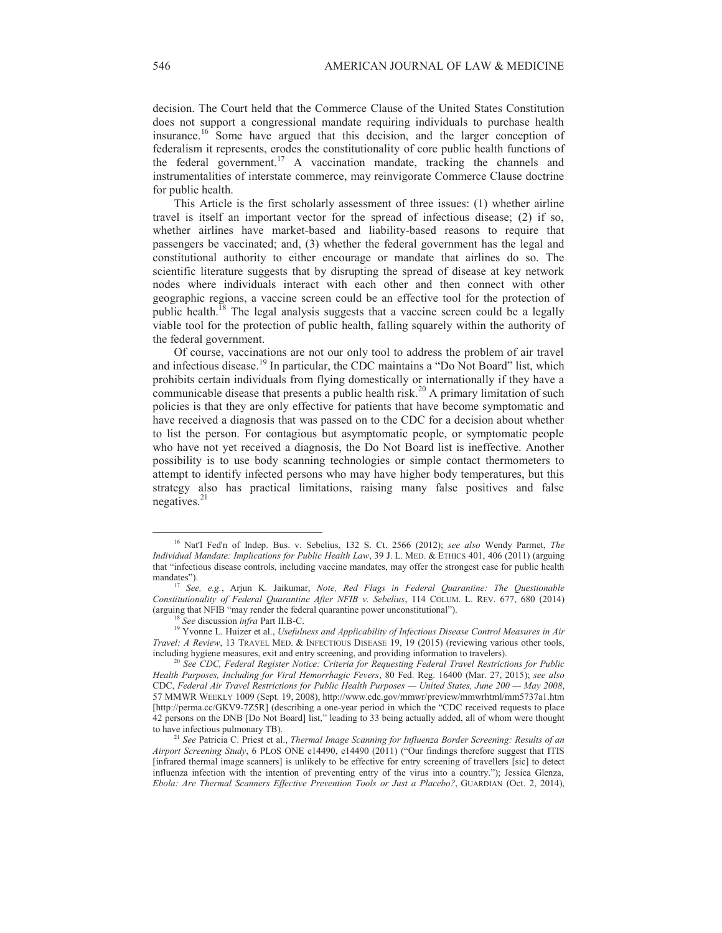decision. The Court held that the Commerce Clause of the United States Constitution does not support a congressional mandate requiring individuals to purchase health insurance.16 Some have argued that this decision, and the larger conception of federalism it represents, erodes the constitutionality of core public health functions of the federal government.<sup>17</sup> A vaccination mandate, tracking the channels and instrumentalities of interstate commerce, may reinvigorate Commerce Clause doctrine for public health.

This Article is the first scholarly assessment of three issues: (1) whether airline travel is itself an important vector for the spread of infectious disease; (2) if so, whether airlines have market-based and liability-based reasons to require that passengers be vaccinated; and, (3) whether the federal government has the legal and constitutional authority to either encourage or mandate that airlines do so. The scientific literature suggests that by disrupting the spread of disease at key network nodes where individuals interact with each other and then connect with other geographic regions, a vaccine screen could be an effective tool for the protection of public health.<sup>18</sup> The legal analysis suggests that a vaccine screen could be a legally viable tool for the protection of public health, falling squarely within the authority of the federal government.

Of course, vaccinations are not our only tool to address the problem of air travel and infectious disease.<sup>19</sup> In particular, the CDC maintains a "Do Not Board" list, which prohibits certain individuals from flying domestically or internationally if they have a communicable disease that presents a public health risk.<sup>20</sup> A primary limitation of such policies is that they are only effective for patients that have become symptomatic and have received a diagnosis that was passed on to the CDC for a decision about whether to list the person. For contagious but asymptomatic people, or symptomatic people who have not yet received a diagnosis, the Do Not Board list is ineffective. Another possibility is to use body scanning technologies or simple contact thermometers to attempt to identify infected persons who may have higher body temperatures, but this strategy also has practical limitations, raising many false positives and false negatives. $21$ 

 <sup>16</sup> Nat'l Fed'n of Indep. Bus. v. Sebelius, 132 S. Ct. 2566 (2012); *see also* Wendy Parmet, *The Individual Mandate: Implications for Public Health Law*, 39 J. L. MED. & ETHICS 401, 406 (2011) (arguing that "infectious disease controls, including vaccine mandates, may offer the strongest case for public health mandates").

<sup>17</sup> *See, e.g.*, Arjun K. Jaikumar, *Note, Red Flags in Federal Quarantine: The Questionable Constitutionality of Federal Quarantine After NFIB v. Sebelius*, 114 COLUM. L. REV. 677, 680 (2014) (arguing that NFIB "may render the federal quarantine power unconstitutional"). <sup>18</sup> See discussion *infra* Part II.B-C.

<sup>&</sup>lt;sup>19</sup> Yvonne L. Huizer et al., *Usefulness and Applicability of Infectious Disease Control Measures in Air Travel: A Review*, 13 TRAVEL MED. & INFECTIOUS DISEASE 19, 19 (2015) (reviewing various other tools, including hygiene measures, exit and entry screening, and providing information to travelers). 20 *See CDC, Federal Register Notice: Criteria for Requesting Federal Travel Restrictions for Public* 

*Health Purposes, Including for Viral Hemorrhagic Fevers*, 80 Fed. Reg. 16400 (Mar. 27, 2015); *see also* CDC, *Federal Air Travel Restrictions for Public Health Purposes — United States, June 200 — May 2008*, 57 MMWR WEEKLY 1009 (Sept. 19, 2008), http://www.cdc.gov/mmwr/preview/mmwrhtml/mm5737a1.htm [http://perma.cc/GKV9-7Z5R] (describing a one-year period in which the "CDC received requests to place 42 persons on the DNB [Do Not Board] list," leading to 33 being actually added, all of whom were thought to have infectious pulmonary TB). 21 *See* Patricia C. Priest et al., *Thermal Image Scanning for Influenza Border Screening: Results of an* 

*Airport Screening Study*, 6 PLOS ONE e14490, e14490 (2011) ("Our findings therefore suggest that ITIS [infrared thermal image scanners] is unlikely to be effective for entry screening of travellers [sic] to detect influenza infection with the intention of preventing entry of the virus into a country."); Jessica Glenza, *Ebola: Are Thermal Scanners Effective Prevention Tools or Just a Placebo?*, GUARDIAN (Oct. 2, 2014),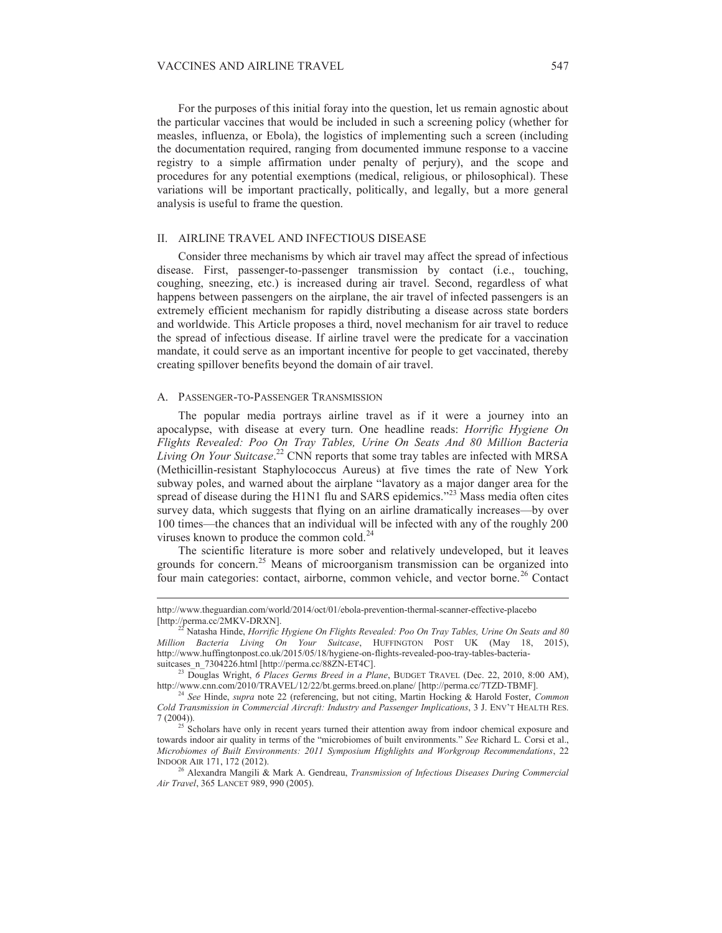For the purposes of this initial foray into the question, let us remain agnostic about the particular vaccines that would be included in such a screening policy (whether for measles, influenza, or Ebola), the logistics of implementing such a screen (including the documentation required, ranging from documented immune response to a vaccine registry to a simple affirmation under penalty of perjury), and the scope and procedures for any potential exemptions (medical, religious, or philosophical). These variations will be important practically, politically, and legally, but a more general analysis is useful to frame the question.

#### II. AIRLINE TRAVEL AND INFECTIOUS DISEASE

Consider three mechanisms by which air travel may affect the spread of infectious disease. First, passenger-to-passenger transmission by contact (i.e., touching, coughing, sneezing, etc.) is increased during air travel. Second, regardless of what happens between passengers on the airplane, the air travel of infected passengers is an extremely efficient mechanism for rapidly distributing a disease across state borders and worldwide. This Article proposes a third, novel mechanism for air travel to reduce the spread of infectious disease. If airline travel were the predicate for a vaccination mandate, it could serve as an important incentive for people to get vaccinated, thereby creating spillover benefits beyond the domain of air travel.

# A. PASSENGER-TO-PASSENGER TRANSMISSION

 $\overline{a}$ 

The popular media portrays airline travel as if it were a journey into an apocalypse, with disease at every turn. One headline reads: *Horrific Hygiene On Flights Revealed: Poo On Tray Tables, Urine On Seats And 80 Million Bacteria Living On Your Suitcase*. 22 CNN reports that some tray tables are infected with MRSA (Methicillin-resistant Staphylococcus Aureus) at five times the rate of New York subway poles, and warned about the airplane "lavatory as a major danger area for the spread of disease during the H1N1 flu and SARS epidemics."<sup>23</sup> Mass media often cites survey data, which suggests that flying on an airline dramatically increases—by over 100 times—the chances that an individual will be infected with any of the roughly 200 viruses known to produce the common cold.<sup>24</sup>

The scientific literature is more sober and relatively undeveloped, but it leaves grounds for concern.<sup>25</sup> Means of microorganism transmission can be organized into four main categories: contact, airborne, common vehicle, and vector borne.<sup>26</sup> Contact

http://www.theguardian.com/world/2014/oct/01/ebola-prevention-thermal-scanner-effective-placebo

<sup>&</sup>lt;sup>22</sup> Natasha Hinde, *Horrific Hygiene On Flights Revealed: Poo On Tray Tables, Urine On Seats and 80 Million Bacteria Living On Your Suitcase*, HUFFINGTON POST UK (May 18, 2015), http://www.huffingtonpost.co.uk/2015/05/18/hygiene-on-flights-revealed-poo-tray-tables-bacteria-

suitcases\_n\_7304226.html [http://perma.cc/88ZN-ET4C]. 23 Douglas Wright, *6 Places Germs Breed in a Plane*, BUDGET TRAVEL (Dec. 22, 2010, 8:00 AM), http://www.cnn.com/2010/TRAVEL/12/22/bt.germs.breed.on.plane/ [http://perma.cc/7TZD-TBMF]. 24 *See* Hinde, *supra* note 22 (referencing, but not citing, Martin Hocking & Harold Foster, *Common* 

*Cold Transmission in Commercial Aircraft: Industry and Passenger Implications*, 3 J. ENV'T HEALTH RES. 7 (2004)). 25 Scholars have only in recent years turned their attention away from indoor chemical exposure and

towards indoor air quality in terms of the "microbiomes of built environments." *See* Richard L. Corsi et al., *Microbiomes of Built Environments: 2011 Symposium Highlights and Workgroup Recommendations*, 22 INDOOR AIR 171, 172 (2012). 26 Alexandra Mangili & Mark A. Gendreau, *Transmission of Infectious Diseases During Commercial* 

*Air Travel*, 365 LANCET 989, 990 (2005).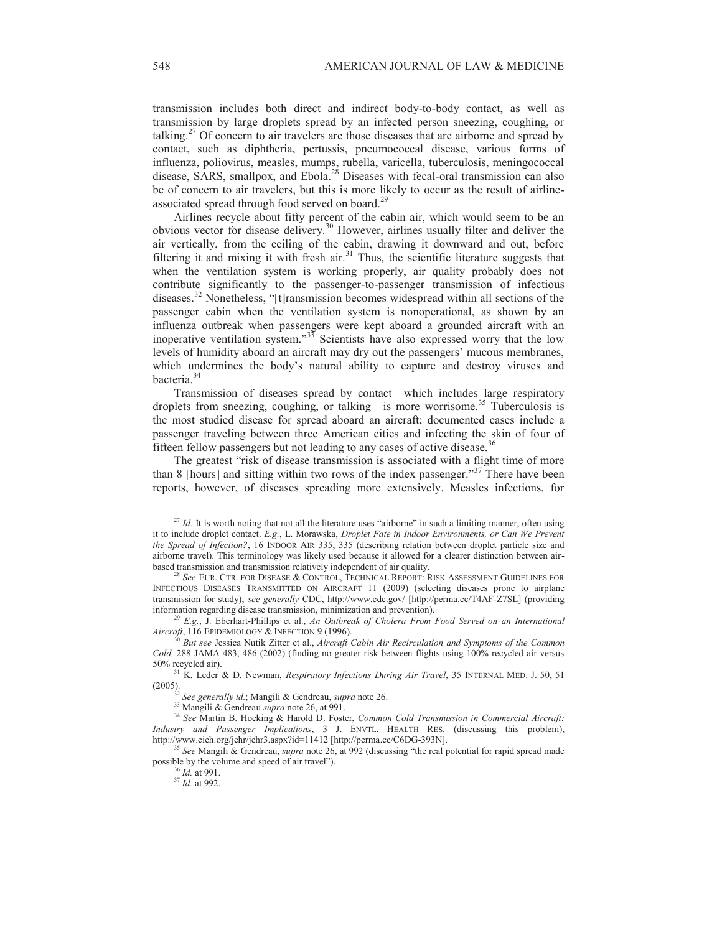transmission includes both direct and indirect body-to-body contact, as well as transmission by large droplets spread by an infected person sneezing, coughing, or talking.<sup>27</sup> Of concern to air travelers are those diseases that are airborne and spread by contact, such as diphtheria, pertussis, pneumococcal disease, various forms of influenza, poliovirus, measles, mumps, rubella, varicella, tuberculosis, meningococcal disease, SARS, smallpox, and Ebola.<sup>28</sup> Diseases with fecal-oral transmission can also be of concern to air travelers, but this is more likely to occur as the result of airlineassociated spread through food served on board.<sup>29</sup>

Airlines recycle about fifty percent of the cabin air, which would seem to be an obvious vector for disease delivery.<sup>30</sup> However, airlines usually filter and deliver the air vertically, from the ceiling of the cabin, drawing it downward and out, before filtering it and mixing it with fresh air. $31$  Thus, the scientific literature suggests that when the ventilation system is working properly, air quality probably does not contribute significantly to the passenger-to-passenger transmission of infectious diseases.<sup>32</sup> Nonetheless, "[t]ransmission becomes widespread within all sections of the passenger cabin when the ventilation system is nonoperational, as shown by an influenza outbreak when passengers were kept aboard a grounded aircraft with an inoperative ventilation system."33 Scientists have also expressed worry that the low levels of humidity aboard an aircraft may dry out the passengers' mucous membranes, which undermines the body's natural ability to capture and destroy viruses and bacteria.<sup>34</sup>

Transmission of diseases spread by contact—which includes large respiratory droplets from sneezing, coughing, or talking—is more worrisome.<sup>35</sup> Tuberculosis is the most studied disease for spread aboard an aircraft; documented cases include a passenger traveling between three American cities and infecting the skin of four of fifteen fellow passengers but not leading to any cases of active disease.<sup>36</sup>

The greatest "risk of disease transmission is associated with a flight time of more than 8 [hours] and sitting within two rows of the index passenger."<sup>37</sup> There have been reports, however, of diseases spreading more extensively. Measles infections, for

<sup>37</sup> *Id.* at 992.

<sup>&</sup>lt;sup>27</sup> *Id.* It is worth noting that not all the literature uses "airborne" in such a limiting manner, often using it to include droplet contact. *E.g.*, L. Morawska, *Droplet Fate in Indoor Environments, or Can We Prevent the Spread of Infection?*, 16 INDOOR AIR 335, 335 (describing relation between droplet particle size and airborne travel). This terminology was likely used because it allowed for a clearer distinction between air-<br>based transmission and transmission relatively independent of air quality.

<sup>&</sup>lt;sup>28</sup> See EUR. CTR. FOR DISEASE & CONTROL, TECHNICAL REPORT: RISK ASSESSMENT GUIDELINES FOR INFECTIOUS DISEASES TRANSMITTED ON AIRCRAFT 11 (2009) (selecting diseases prone to airplane transmission for study); *see generally* CDC, http://www.cdc.gov/ [http://perma.cc/T4AF-Z7SL] (providing

information regarding disease transmission, minimization and prevention).<br><sup>29</sup> *E.g.*, J. Eberhart-Phillips et al., *An Outbreak of Cholera From Food Served on an International Aircraft*, 116 EPIDEMIOLOGY & INFECTION 9 (19

<sup>&</sup>lt;sup>30</sup> But see Jessica Nutik Zitter et al., *Aircraft Cabin Air Recirculation and Symptoms of the Common Cold,* 288 JAMA 483, 486 (2002) (finding no greater risk between flights using 100% recycled air versus 50% recycled air). 31 K. Leder & D. Newman, *Respiratory Infections During Air Travel*, 35 INTERNAL MED. J. 50, <sup>51</sup>

<sup>(2005).&</sup>lt;br><sup>32</sup> *See generally id.*; Mangili & Gendreau, *supra* note 26.<br><sup>33</sup> Mangili & Gendreau *supra* note 26, at 991.<br><sup>34</sup> *See* Martin B. Hocking & Harold D. Foster, *Common Cold Transmission in Commercial Aircraft:* 

*Industry and Passenger Implications*, 3 J. ENVTL. HEALTH RES. (discussing this problem),

<sup>&</sup>lt;sup>35</sup> See Mangili & Gendreau, *supra* note  $26$ , at 992 (discussing "the real potential for rapid spread made possible by the volume and speed of air travel").  $\frac{36}{1}$  *Id.* at 991.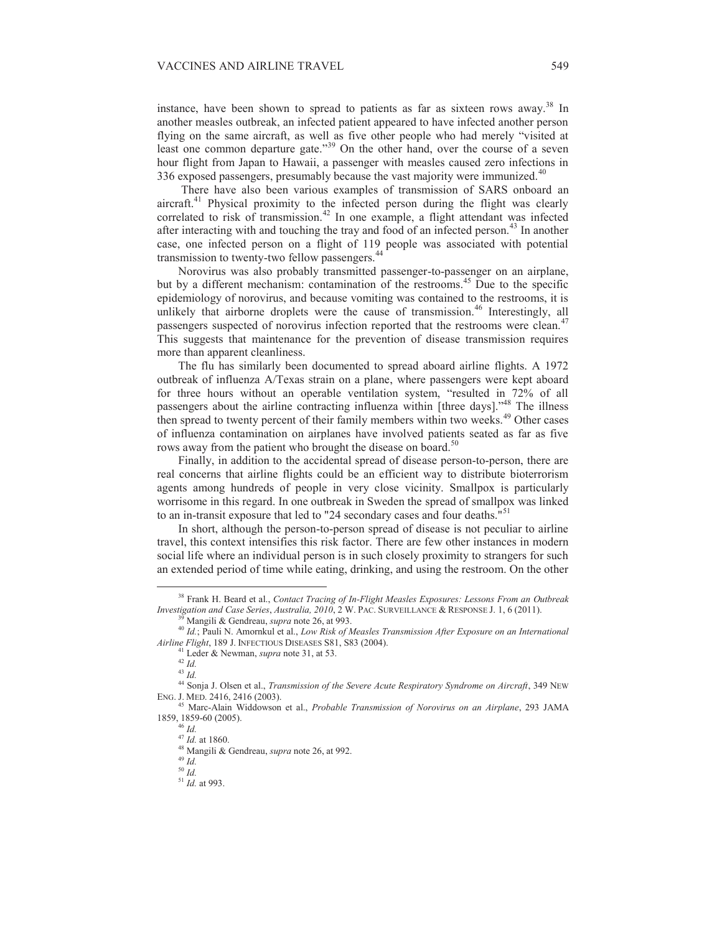instance, have been shown to spread to patients as far as sixteen rows away.<sup>38</sup> In another measles outbreak, an infected patient appeared to have infected another person flying on the same aircraft, as well as five other people who had merely "visited at least one common departure gate."39 On the other hand, over the course of a seven hour flight from Japan to Hawaii, a passenger with measles caused zero infections in 336 exposed passengers, presumably because the vast majority were immunized.<sup>40</sup>

 There have also been various examples of transmission of SARS onboard an aircraft.<sup>41</sup> Physical proximity to the infected person during the flight was clearly correlated to risk of transmission.<sup>42</sup> In one example, a flight attendant was infected after interacting with and touching the tray and food of an infected person.43 In another case, one infected person on a flight of 119 people was associated with potential transmission to twenty-two fellow passengers.<sup>44</sup>

Norovirus was also probably transmitted passenger-to-passenger on an airplane, but by a different mechanism: contamination of the restrooms.<sup>45</sup> Due to the specific epidemiology of norovirus, and because vomiting was contained to the restrooms, it is unlikely that airborne droplets were the cause of transmission.<sup>46</sup> Interestingly, all passengers suspected of norovirus infection reported that the restrooms were clean.<sup>47</sup> This suggests that maintenance for the prevention of disease transmission requires more than apparent cleanliness.

The flu has similarly been documented to spread aboard airline flights. A 1972 outbreak of influenza A/Texas strain on a plane, where passengers were kept aboard for three hours without an operable ventilation system, "resulted in 72% of all passengers about the airline contracting influenza within [three days]."<sup>48</sup> The illness then spread to twenty percent of their family members within two weeks.<sup>49</sup> Other cases of influenza contamination on airplanes have involved patients seated as far as five rows away from the patient who brought the disease on board.<sup>50</sup>

Finally, in addition to the accidental spread of disease person-to-person, there are real concerns that airline flights could be an efficient way to distribute bioterrorism agents among hundreds of people in very close vicinity. Smallpox is particularly worrisome in this regard. In one outbreak in Sweden the spread of smallpox was linked to an in-transit exposure that led to "24 secondary cases and four deaths."<sup>51</sup>

In short, although the person-to-person spread of disease is not peculiar to airline travel, this context intensifies this risk factor. There are few other instances in modern social life where an individual person is in such closely proximity to strangers for such an extended period of time while eating, drinking, and using the restroom. On the other

 $\frac{50}{Id}$ .

<sup>&</sup>lt;sup>38</sup> Frank H. Beard et al., *Contact Tracing of In-Flight Measles Exposures: Lessons From an Outbreak Investigation and Case Series, Australia, 2010, 2 W. PAC. SURVEILLANCE & RESPONSE J. 1, 6 (2011).* 

<sup>&</sup>lt;sup>39</sup> Mangili & Gendreau, *supra* note 26, at 993.<br><sup>40</sup> *Id.*; Pauli N. Amornkul et al., *Low Risk of Measles Transmission After Exposure on an International Airline Flight*, 189 J. INFECTIOUS DISEASES S81, S83 (2004).

<sup>41</sup> Leder & Newman, *supra* note 31, at 53. 42 *Id.* 

<sup>43</sup> *Id.* 

<sup>&</sup>lt;sup>44</sup> Sonja J. Olsen et al., *Transmission of the Severe Acute Respiratory Syndrome on Aircraft*, 349 NEW ENG. J. MED. 2416, 2416 (2003).

<sup>&</sup>lt;sup>45</sup> Marc-Alain Widdowson et al., *Probable Transmission of Norovirus on an Airplane*, 293 JAMA 1859, 1859-60 (2005).<br><sup>46</sup> *Id.*<br><sup>47</sup> *Id.* at 1860.

<sup>&</sup>lt;sup>48</sup> Mangili & Gendreau, *supra* note 26, at 992.

<sup>51</sup> *Id.* at 993.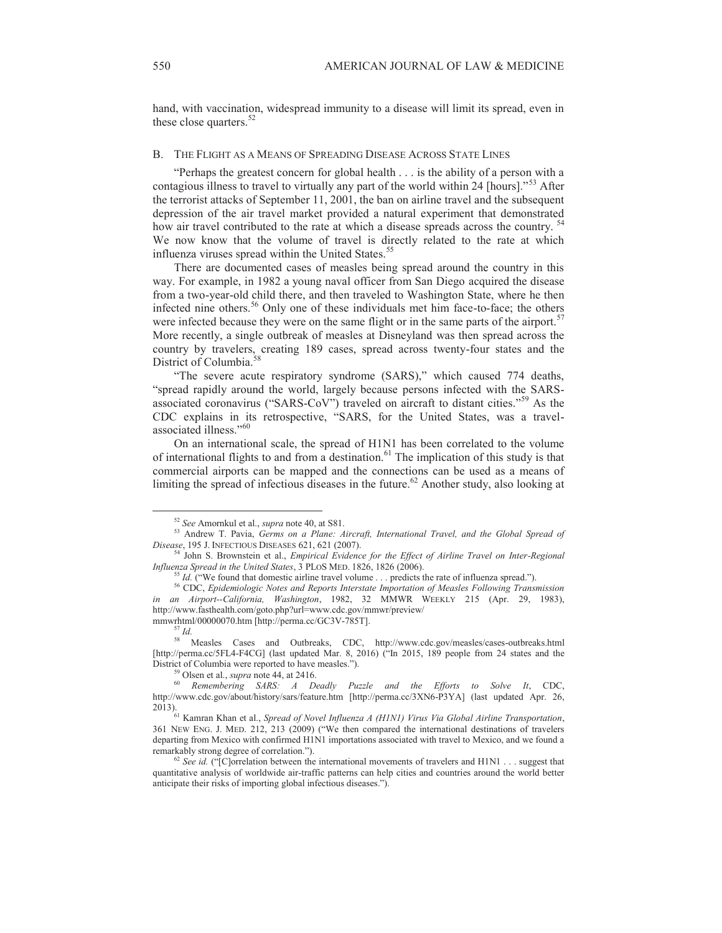hand, with vaccination, widespread immunity to a disease will limit its spread, even in these close quarters. $52$ 

# B. THE FLIGHT AS A MEANS OF SPREADING DISEASE ACROSS STATE LINES

"Perhaps the greatest concern for global health . . . is the ability of a person with a contagious illness to travel to virtually any part of the world within 24 [hours]."<sup>53</sup> After the terrorist attacks of September 11, 2001, the ban on airline travel and the subsequent depression of the air travel market provided a natural experiment that demonstrated how air travel contributed to the rate at which a disease spreads across the country.<sup>54</sup> We now know that the volume of travel is directly related to the rate at which influenza viruses spread within the United States.<sup>55</sup>

There are documented cases of measles being spread around the country in this way. For example, in 1982 a young naval officer from San Diego acquired the disease from a two-year-old child there, and then traveled to Washington State, where he then infected nine others.<sup>56</sup> Only one of these individuals met him face-to-face; the others were infected because they were on the same flight or in the same parts of the airport.<sup>57</sup> More recently, a single outbreak of measles at Disneyland was then spread across the country by travelers, creating 189 cases, spread across twenty-four states and the District of Columbia.<sup>58</sup>

"The severe acute respiratory syndrome (SARS)," which caused 774 deaths, "spread rapidly around the world, largely because persons infected with the SARSassociated coronavirus ("SARS-CoV") traveled on aircraft to distant cities."59 As the CDC explains in its retrospective, "SARS, for the United States, was a travelassociated illness."<sup>60</sup>

On an international scale, the spread of H1N1 has been correlated to the volume of international flights to and from a destination.<sup>61</sup> The implication of this study is that commercial airports can be mapped and the connections can be used as a means of limiting the spread of infectious diseases in the future.<sup>62</sup> Another study, also looking at

<sup>&</sup>lt;sup>52</sup> *See* Amornkul et al., *supra* note 40, at S81.<br><sup>53</sup> Andrew T. Pavia, *Germs on a Plane: Aircraft, International Travel, and the Global Spread of Disease*, 195 J. INFECTIOUS DISEASES 621, 621 (2007).

<sup>&</sup>lt;sup>4</sup> John S. Brownstein et al., *Empirical Evidence for the Effect of Airline Travel on Inter-Regional Influenza Spread in the United States*, 3 PLOS MED. 1826, 1826 (2006).<br><sup>55</sup> *Id.* ("We found that domestic airline travel volume . . . predicts the rate of influenza spread.").

<sup>56</sup> CDC, *Epidemiologic Notes and Reports Interstate Importation of Measles Following Transmission in an Airport--California, Washington*, 1982, 32 MMWR WEEKLY 215 (Apr. 29, 1983), http://www.fasthealth.com/goto.php?url=www.cdc.gov/mmwr/preview/

mmwrhtml/00000070.htm [http://perma.cc/GC3V-785T].<br><sup>57</sup> *Id.*<br><sup>58</sup> Mogelas Cases and Outbreaks CDC

<sup>58</sup> Measles Cases and Outbreaks, CDC, http://www.cdc.gov/measles/cases-outbreaks.html [http://perma.cc/5FL4-F4CG] (last updated Mar. 8, 2016) ("In 2015, 189 people from 24 states and the District of Columbia were reported to have measles.").

<sup>59</sup> Olsen et al., *supra* note 44, at 2416. 60 *Remembering SARS: A Deadly Puzzle and the Efforts to Solve It*, CDC, http://www.cdc.gov/about/history/sars/feature.htm [http://perma.cc/3XN6-P3YA] (last updated Apr. 26, 2013).

<sup>2013). 61</sup> Kamran Khan et al., *Spread of Novel Influenza A (H1N1) Virus Via Global Airline Transportation*, 361 NEW ENG. J. MED. 212, 213 (2009) ("We then compared the international destinations of travelers departing from Mexico with confirmed H1N1 importations associated with travel to Mexico, and we found a remarkably strong degree of correlation.").

<sup>&</sup>lt;sup>62</sup> See id. <sup>("</sup>[C]orrelation between the international movements of travelers and H1N1 . . . suggest that quantitative analysis of worldwide air-traffic patterns can help cities and countries around the world better anticipate their risks of importing global infectious diseases.").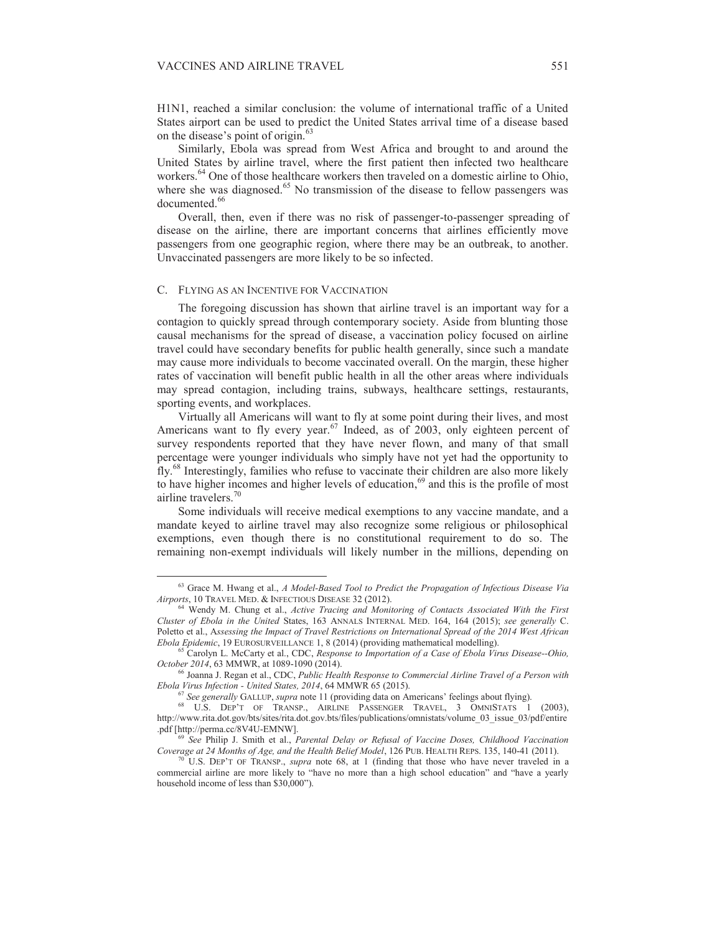H1N1, reached a similar conclusion: the volume of international traffic of a United States airport can be used to predict the United States arrival time of a disease based on the disease's point of origin.<sup>63</sup>

Similarly, Ebola was spread from West Africa and brought to and around the United States by airline travel, where the first patient then infected two healthcare workers.<sup>64</sup> One of those healthcare workers then traveled on a domestic airline to Ohio, where she was diagnosed.<sup>65</sup> No transmission of the disease to fellow passengers was documented.<sup>66</sup>

Overall, then, even if there was no risk of passenger-to-passenger spreading of disease on the airline, there are important concerns that airlines efficiently move passengers from one geographic region, where there may be an outbreak, to another. Unvaccinated passengers are more likely to be so infected.

# C. FLYING AS AN INCENTIVE FOR VACCINATION

The foregoing discussion has shown that airline travel is an important way for a contagion to quickly spread through contemporary society. Aside from blunting those causal mechanisms for the spread of disease, a vaccination policy focused on airline travel could have secondary benefits for public health generally, since such a mandate may cause more individuals to become vaccinated overall. On the margin, these higher rates of vaccination will benefit public health in all the other areas where individuals may spread contagion, including trains, subways, healthcare settings, restaurants, sporting events, and workplaces.

Virtually all Americans will want to fly at some point during their lives, and most Americans want to fly every year.<sup>67</sup> Indeed, as of 2003, only eighteen percent of survey respondents reported that they have never flown, and many of that small percentage were younger individuals who simply have not yet had the opportunity to fly.<sup>68</sup> Interestingly, families who refuse to vaccinate their children are also more likely to have higher incomes and higher levels of education,<sup>69</sup> and this is the profile of most airline travelers<sup>70</sup>

Some individuals will receive medical exemptions to any vaccine mandate, and a mandate keyed to airline travel may also recognize some religious or philosophical exemptions, even though there is no constitutional requirement to do so. The remaining non-exempt individuals will likely number in the millions, depending on

<sup>&</sup>lt;sup>63</sup> Grace M. Hwang et al., *A Model-Based Tool to Predict the Propagation of Infectious Disease Via Airports*, 10 TRAVEL MED. & INFECTIOUS DISEASE 32 (2012).

<sup>&</sup>lt;sup>64</sup> Wendy M. Chung et al., *Active Tracing and Monitoring of Contacts Associated With the First Cluster of Ebola in the United* States, 163 ANNALS INTERNAL MED. 164, 164 (2015); *see generally* C. Poletto et al., A*ssessing the Impact of Travel Restrictions on International Spread of the 2014 West African Ebola Epidemic*, 19 EUROSURVEILLANCE 1, 8 (2014) (providing mathematical modelling). 65 Carolyn L. McCarty et al., CDC, *Response to Importation of a Case of Ebola Virus Disease--Ohio,* 

*October 2014*, 63 MMWR, at 1089-1090 (2014). 66 Joanna J. Regan et al., CDC, *Public Health Response to Commercial Airline Travel of a Person with* 

*Ebola Virus Infection - United States, 2014*, 64 MMWR 65 (2015). 67 *See generally* GALLUP, *supra* note 11 (providing data on Americans' feelings about flying).

<sup>68</sup> U.S. DEP'T OF TRANSP., AIRLINE PASSENGER TRAVEL, 3 OMNISTATS 1 (2003), http://www.rita.dot.gov/bts/sites/rita.dot.gov.bts/files/publications/omnistats/volume\_03\_issue\_03/pdf/entire

<sup>.</sup>pdf [http://perma.cc/8V4U-EMNW]. 69 *See* Philip J. Smith et al., *Parental Delay or Refusal of Vaccine Doses, Childhood Vaccination* 

<sup>&</sup>lt;sup>70</sup> U.S. DEP'T OF TRANSP., *supra* note 68, at 1 (finding that those who have never traveled in a commercial airline are more likely to "have no more than a high school education" and "have a yearly household income of less than \$30,000").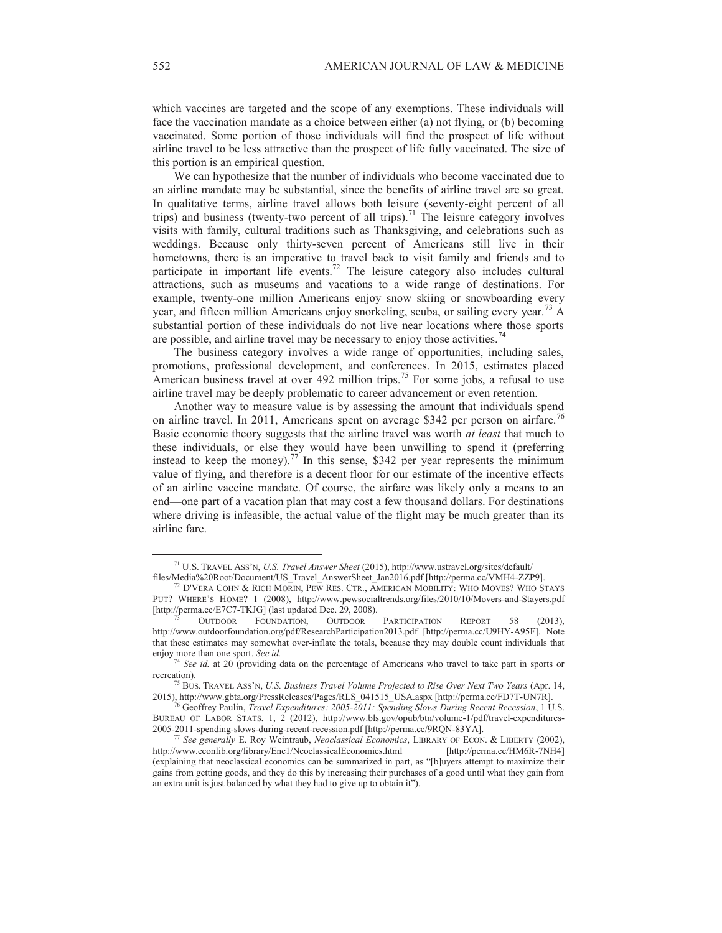which vaccines are targeted and the scope of any exemptions. These individuals will face the vaccination mandate as a choice between either (a) not flying, or (b) becoming vaccinated. Some portion of those individuals will find the prospect of life without airline travel to be less attractive than the prospect of life fully vaccinated. The size of this portion is an empirical question.

We can hypothesize that the number of individuals who become vaccinated due to an airline mandate may be substantial, since the benefits of airline travel are so great. In qualitative terms, airline travel allows both leisure (seventy-eight percent of all trips) and business (twenty-two percent of all trips).<sup>71</sup> The leisure category involves visits with family, cultural traditions such as Thanksgiving, and celebrations such as weddings. Because only thirty-seven percent of Americans still live in their hometowns, there is an imperative to travel back to visit family and friends and to participate in important life events.<sup>72</sup> The leisure category also includes cultural attractions, such as museums and vacations to a wide range of destinations. For example, twenty-one million Americans enjoy snow skiing or snowboarding every year, and fifteen million Americans enjoy snorkeling, scuba, or sailing every year.<sup>73</sup> A substantial portion of these individuals do not live near locations where those sports are possible, and airline travel may be necessary to enjoy those activities.<sup>74</sup>

The business category involves a wide range of opportunities, including sales, promotions, professional development, and conferences. In 2015, estimates placed American business travel at over 492 million trips.<sup>75</sup> For some jobs, a refusal to use airline travel may be deeply problematic to career advancement or even retention.

Another way to measure value is by assessing the amount that individuals spend on airline travel. In 2011, Americans spent on average \$342 per person on airfare.<sup>76</sup> Basic economic theory suggests that the airline travel was worth *at least* that much to these individuals, or else they would have been unwilling to spend it (preferring instead to keep the money).<sup>77</sup> In this sense, \$342 per year represents the minimum value of flying, and therefore is a decent floor for our estimate of the incentive effects of an airline vaccine mandate. Of course, the airfare was likely only a means to an end—one part of a vacation plan that may cost a few thousand dollars. For destinations where driving is infeasible, the actual value of the flight may be much greater than its airline fare.

 <sup>71</sup> U.S. TRAVEL ASS'N, *U.S. Travel Answer Sheet* (2015), http://www.ustravel.org/sites/default/ files/Media%20Root/Document/US\_Travel\_AnswerSheet\_Jan2016.pdf [http://perma.cc/VMH4-ZZP9]. 72 D'VERA COHN & RICH MORIN, PEW RES. CTR., AMERICAN MOBILITY: WHO MOVES? WHO STAYS

PUT? WHERE'S HOME? 1 (2008), http://www.pewsocialtrends.org/files/2010/10/Movers-and-Stayers.pdf [http://perma.cc/E7C7-TKJG] (last updated Dec. 29, 2008). 73 OUTDOOR FOUNDATION, OUTDOOR PARTICIPATION REPORT 58 (2013),

http://www.outdoorfoundation.org/pdf/ResearchParticipation2013.pdf [http://perma.cc/U9HY-A95F]. Note that these estimates may somewhat over-inflate the totals, because they may double count individuals that enjoy more than one sport. *See id.*

<sup>&</sup>lt;sup>74</sup> See *id.* at 20 (providing data on the percentage of Americans who travel to take part in sports or recreation). <sup>75</sup> BUS. TRAVEL ASS'N, *U.S. Business Travel Volume Projected to Rise Over Next Two Years* (Apr. 14,

<sup>2015),</sup> http://www.gbta.org/PressReleases/Pages/RLS\_041515\_USA.aspx [http://perma.cc/FD7T-UN7R]. 76 Geoffrey Paulin, *Travel Expenditures: 2005-2011: Spending Slows During Recent Recession*, 1 U.S.

BUREAU OF LABOR STATS. 1, 2 (2012), http://www.bls.gov/opub/btn/volume-1/pdf/travel-expenditures-

<sup>2005-2011-</sup>spending-slows-during-recent-recession.pdf [http://perma.cc/9RQN-83YA].<br><sup>77</sup> *See generally* E. Roy Weintraub, *Neoclassical Economics*, LIBRARY OF ECON. & LIBERTY (2002),<br>http://www.econlib.org/library/Enc1/Neoc http://www.econlib.org/library/Enc1/NeoclassicalEconomics.html (explaining that neoclassical economics can be summarized in part, as "[b]uyers attempt to maximize their gains from getting goods, and they do this by increasing their purchases of a good until what they gain from an extra unit is just balanced by what they had to give up to obtain it").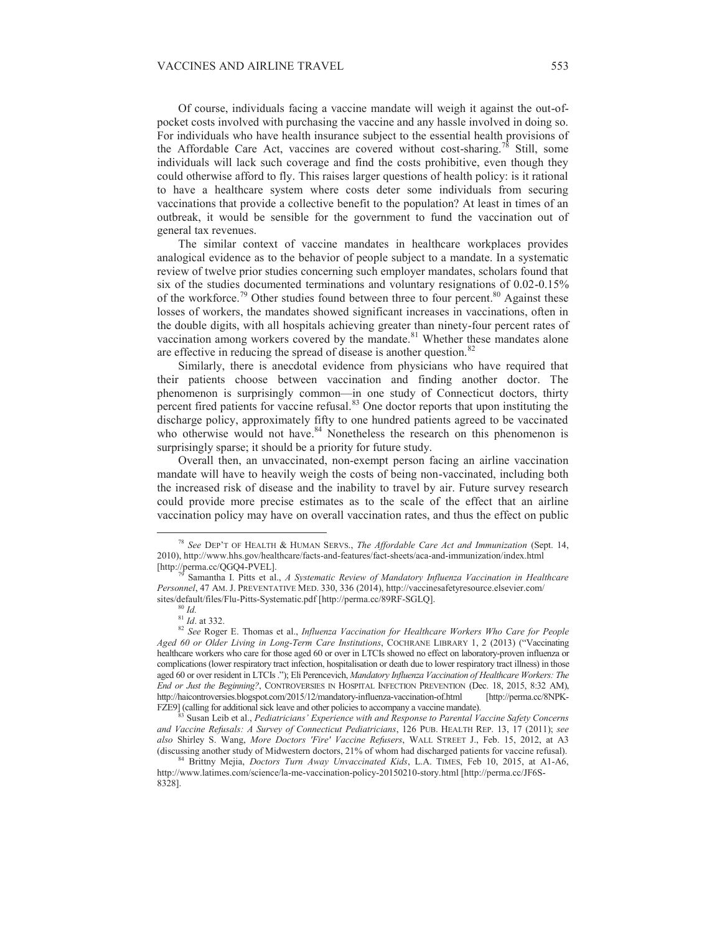Of course, individuals facing a vaccine mandate will weigh it against the out-ofpocket costs involved with purchasing the vaccine and any hassle involved in doing so. For individuals who have health insurance subject to the essential health provisions of the Affordable Care Act, vaccines are covered without cost-sharing.<sup>78</sup> Still, some individuals will lack such coverage and find the costs prohibitive, even though they could otherwise afford to fly. This raises larger questions of health policy: is it rational to have a healthcare system where costs deter some individuals from securing vaccinations that provide a collective benefit to the population? At least in times of an outbreak, it would be sensible for the government to fund the vaccination out of general tax revenues.

The similar context of vaccine mandates in healthcare workplaces provides analogical evidence as to the behavior of people subject to a mandate. In a systematic review of twelve prior studies concerning such employer mandates, scholars found that six of the studies documented terminations and voluntary resignations of 0.02-0.15% of the workforce.<sup>79</sup> Other studies found between three to four percent.<sup>80</sup> Against these losses of workers, the mandates showed significant increases in vaccinations, often in the double digits, with all hospitals achieving greater than ninety-four percent rates of vaccination among workers covered by the mandate.<sup>81</sup> Whether these mandates alone are effective in reducing the spread of disease is another question.<sup>82</sup>

Similarly, there is anecdotal evidence from physicians who have required that their patients choose between vaccination and finding another doctor. The phenomenon is surprisingly common—in one study of Connecticut doctors, thirty percent fired patients for vaccine refusal.83 One doctor reports that upon instituting the discharge policy, approximately fifty to one hundred patients agreed to be vaccinated who otherwise would not have. $84$  Nonetheless the research on this phenomenon is surprisingly sparse; it should be a priority for future study.

Overall then, an unvaccinated, non-exempt person facing an airline vaccination mandate will have to heavily weigh the costs of being non-vaccinated, including both the increased risk of disease and the inability to travel by air. Future survey research could provide more precise estimates as to the scale of the effect that an airline vaccination policy may have on overall vaccination rates, and thus the effect on public

 <sup>78</sup> *See* DEP'T OF HEALTH & HUMAN SERVS., *The Affordable Care Act and Immunization* (Sept. 14, 2010), http://www.hhs.gov/healthcare/facts-and-features/fact-sheets/aca-and-immunization/index.html

Samantha I. Pitts et al., *A Systematic Review of Mandatory Influenza Vaccination in Healthcare Personnel*, 47 AM. J. PREVENTATIVE MED. 330, 336 (2014), http://vaccinesafetyresource.elsevier.com/ sites/default/files/Flu-Pitts-Systematic.pdf [http://perma.cc/89RF-SGLQ].<br><sup>80</sup> *Id.* 8<sup>1</sup> *Id.* at 332.

<sup>&</sup>lt;sup>82</sup> See Roger E. Thomas et al., *Influenza Vaccination for Healthcare Workers Who Care for People Aged 60 or Older Living in Long-Term Care Institutions*, COCHRANE LIBRARY 1, 2 (2013) ("Vaccinating healthcare workers who care for those aged 60 or over in LTCIs showed no effect on laboratory-proven influenza or complications (lower respiratory tract infection, hospitalisation or death due to lower respiratory tract illness) in those aged 60 or over resident in LTCIs ."); Eli Perencevich, *Mandatory Influenza Vaccination of Healthcare Workers: The End or Just the Beginning?*, CONTROVERSIES IN HOSPITAL INFECTION PREVENTION (Dec. 18, 2015, 8:32 AM), http://haicontroversies.blogspot.com/2015/12/mandatory-influenza-vaccination-of.html [http://perma.cc/8NPK-FZE9] (calling for additional sick leave and other policies to accompany a vaccine mandate).

FZE9] (calling for additional sick leave and other policies to accompany a vaccine mandate). 83 Susan Leib et al., *Pediatricians' Experience with and Response to Parental Vaccine Safety Concerns and Vaccine Refusals: A Survey of Connecticut Pediatricians*, 126 PUB. HEALTH REP. 13, 17 (2011); *see also* Shirley S. Wang, *More Doctors 'Fire' Vaccine Refusers*, WALL STREET J., Feb. 15, 2012, at A3

<sup>&</sup>lt;sup>84</sup> Brittny Mejia, *Doctors Turn Away Unvaccinated Kids*, L.A. TIMES, Feb 10, 2015, at A1-A6, http://www.latimes.com/science/la-me-vaccination-policy-20150210-story.html [http://perma.cc/JF6S-8328].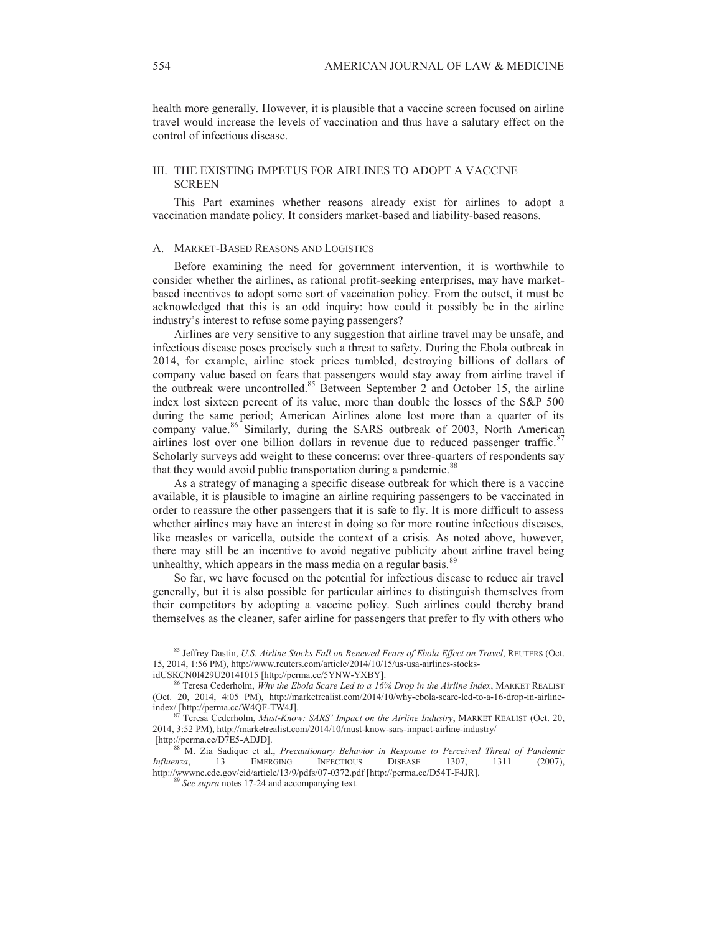health more generally. However, it is plausible that a vaccine screen focused on airline travel would increase the levels of vaccination and thus have a salutary effect on the control of infectious disease.

# III. THE EXISTING IMPETUS FOR AIRLINES TO ADOPT A VACCINE SCREEN

This Part examines whether reasons already exist for airlines to adopt a vaccination mandate policy. It considers market-based and liability-based reasons.

## A. MARKET-BASED REASONS AND LOGISTICS

Before examining the need for government intervention, it is worthwhile to consider whether the airlines, as rational profit-seeking enterprises, may have marketbased incentives to adopt some sort of vaccination policy. From the outset, it must be acknowledged that this is an odd inquiry: how could it possibly be in the airline industry's interest to refuse some paying passengers?

Airlines are very sensitive to any suggestion that airline travel may be unsafe, and infectious disease poses precisely such a threat to safety. During the Ebola outbreak in 2014, for example, airline stock prices tumbled, destroying billions of dollars of company value based on fears that passengers would stay away from airline travel if the outbreak were uncontrolled.<sup>85</sup> Between September 2 and October 15, the airline index lost sixteen percent of its value, more than double the losses of the S&P 500 during the same period; American Airlines alone lost more than a quarter of its company value.<sup>86</sup> Similarly, during the SARS outbreak of 2003, North American airlines lost over one billion dollars in revenue due to reduced passenger traffic.<sup>87</sup> Scholarly surveys add weight to these concerns: over three-quarters of respondents say that they would avoid public transportation during a pandemic.<sup>88</sup>

As a strategy of managing a specific disease outbreak for which there is a vaccine available, it is plausible to imagine an airline requiring passengers to be vaccinated in order to reassure the other passengers that it is safe to fly. It is more difficult to assess whether airlines may have an interest in doing so for more routine infectious diseases, like measles or varicella, outside the context of a crisis. As noted above, however, there may still be an incentive to avoid negative publicity about airline travel being unhealthy, which appears in the mass media on a regular basis.<sup>89</sup>

So far, we have focused on the potential for infectious disease to reduce air travel generally, but it is also possible for particular airlines to distinguish themselves from their competitors by adopting a vaccine policy. Such airlines could thereby brand themselves as the cleaner, safer airline for passengers that prefer to fly with others who

 <sup>85</sup> Jeffrey Dastin, *U.S. Airline Stocks Fall on Renewed Fears of Ebola Effect on Travel*, REUTERS (Oct. 15, 2014, 1:56 PM), http://www.reuters.com/article/2014/10/15/us-usa-airlines-stocks-

idUSKCN0I429U20141015 [http://perma.cc/5YNW-YXBY]. 86 Teresa Cederholm, *Why the Ebola Scare Led to a 16% Drop in the Airline Index*, MARKET REALIST (Oct. 20, 2014, 4:05 PM), http://marketrealist.com/2014/10/why-ebola-scare-led-to-a-16-drop-in-airlineindex/ [http://perma.cc/W4QF-TW4J]. 87 Teresa Cederholm, *Must-Know: SARS' Impact on the Airline Industry*, MARKET REALIST (Oct. 20,

<sup>2014, 3:52</sup> PM), http://marketrealist.com/2014/10/must-know-sars-impact-airline-industry/

 $85^{\circ}$ M. Zia Sadique et al., *Precautionary Behavior in Response to Perceived Threat of Pandemic Influenza*, 13 EMERGING INFECTIOUS DISEASE 1307, 1311 (2007), http://wwwnc.cdc.gov/eid/article/13/9/pdfs/07-0372.pdf [http://perma.cc/D54T-F4JR]. 89 *See supra* notes 17-24 and accompanying text.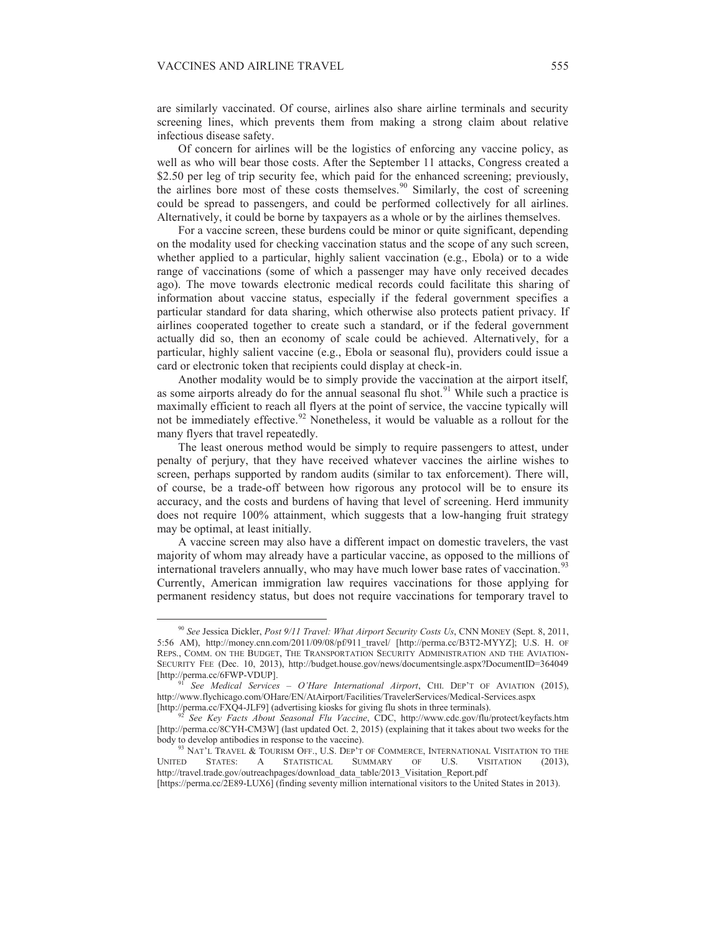are similarly vaccinated. Of course, airlines also share airline terminals and security screening lines, which prevents them from making a strong claim about relative infectious disease safety.

Of concern for airlines will be the logistics of enforcing any vaccine policy, as well as who will bear those costs. After the September 11 attacks, Congress created a \$2.50 per leg of trip security fee, which paid for the enhanced screening; previously, the airlines bore most of these costs themselves.<sup>90</sup> Similarly, the cost of screening could be spread to passengers, and could be performed collectively for all airlines. Alternatively, it could be borne by taxpayers as a whole or by the airlines themselves.

For a vaccine screen, these burdens could be minor or quite significant, depending on the modality used for checking vaccination status and the scope of any such screen, whether applied to a particular, highly salient vaccination (e.g., Ebola) or to a wide range of vaccinations (some of which a passenger may have only received decades ago). The move towards electronic medical records could facilitate this sharing of information about vaccine status, especially if the federal government specifies a particular standard for data sharing, which otherwise also protects patient privacy. If airlines cooperated together to create such a standard, or if the federal government actually did so, then an economy of scale could be achieved. Alternatively, for a particular, highly salient vaccine (e.g., Ebola or seasonal flu), providers could issue a card or electronic token that recipients could display at check-in.

Another modality would be to simply provide the vaccination at the airport itself, as some airports already do for the annual seasonal flu shot.<sup>91</sup> While such a practice is maximally efficient to reach all flyers at the point of service, the vaccine typically will not be immediately effective.<sup>92</sup> Nonetheless, it would be valuable as a rollout for the many flyers that travel repeatedly.

The least onerous method would be simply to require passengers to attest, under penalty of perjury, that they have received whatever vaccines the airline wishes to screen, perhaps supported by random audits (similar to tax enforcement). There will, of course, be a trade-off between how rigorous any protocol will be to ensure its accuracy, and the costs and burdens of having that level of screening. Herd immunity does not require 100% attainment, which suggests that a low-hanging fruit strategy may be optimal, at least initially.

A vaccine screen may also have a different impact on domestic travelers, the vast majority of whom may already have a particular vaccine, as opposed to the millions of international travelers annually, who may have much lower base rates of vaccination.<sup>93</sup> Currently, American immigration law requires vaccinations for those applying for permanent residency status, but does not require vaccinations for temporary travel to

 <sup>90</sup> *See* Jessica Dickler, *Post 9/11 Travel: What Airport Security Costs Us*, CNN MONEY (Sept. 8, 2011, 5:56 AM), http://money.cnn.com/2011/09/08/pf/911\_travel/ [http://perma.cc/B3T2-MYYZ]; U.S. H. OF REPS., COMM. ON THE BUDGET, THE TRANSPORTATION SECURITY ADMINISTRATION AND THE AVIATION-SECURITY FEE (Dec. 10, 2013), http://budget.house.gov/news/documentsingle.aspx?DocumentID=364049 [http://perma.cc/6FWP-VDUP].

See Medical Services - O'Hare International Airport, CHI. DEP'T OF AVIATION (2015), http://www.flychicago.com/OHare/EN/AtAirport/Facilities/TravelerServices/Medical-Services.aspx<br>[http://perma.cc/FXO4-JLF9] (advertising kiosks for giving flu shots in three terminals).

<sup>[</sup>http://perma.cc/FXQ4-JLF9] (advertising kiosks for giving flu shots in three terminals). 92 *See Key Facts About Seasonal Flu Vaccine*, CDC, http://www.cdc.gov/flu/protect/keyfacts.htm [http://perma.cc/8CYH-CM3W] (last updated Oct. 2, 2015) (explaining that it takes about two weeks for the

<sup>&</sup>lt;sup>93</sup> NAT'L TRAVEL & TOURISM OFF., U.S. DEP'T OF COMMERCE, INTERNATIONAL VISITATION TO THE UNITED STATES: A STATISTICAL SUMMARY OF U.S. VISITATION (2013), http://travel.trade.gov/outreachpages/download\_data\_table/2013\_Visitation\_Report.pdf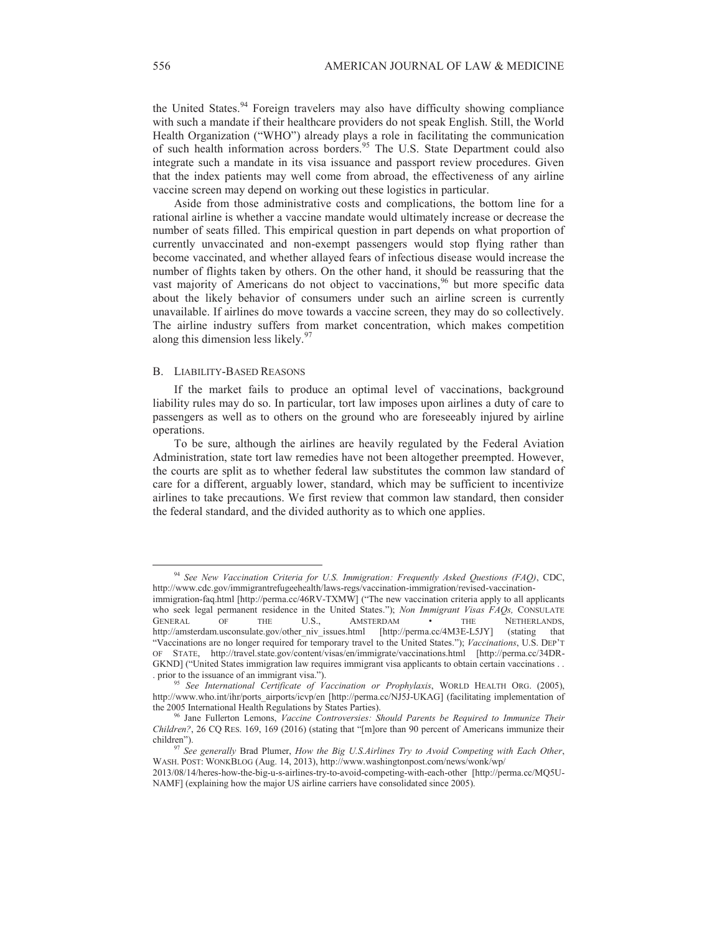the United States.<sup>94</sup> Foreign travelers may also have difficulty showing compliance with such a mandate if their healthcare providers do not speak English. Still, the World Health Organization ("WHO") already plays a role in facilitating the communication of such health information across borders.<sup>95</sup> The U.S. State Department could also integrate such a mandate in its visa issuance and passport review procedures. Given that the index patients may well come from abroad, the effectiveness of any airline vaccine screen may depend on working out these logistics in particular.

Aside from those administrative costs and complications, the bottom line for a rational airline is whether a vaccine mandate would ultimately increase or decrease the number of seats filled. This empirical question in part depends on what proportion of currently unvaccinated and non-exempt passengers would stop flying rather than become vaccinated, and whether allayed fears of infectious disease would increase the number of flights taken by others. On the other hand, it should be reassuring that the vast majority of Americans do not object to vaccinations,<sup>96</sup> but more specific data about the likely behavior of consumers under such an airline screen is currently unavailable. If airlines do move towards a vaccine screen, they may do so collectively. The airline industry suffers from market concentration, which makes competition along this dimension less likely.<sup>97</sup>

#### B. LIABILITY-BASED REASONS

If the market fails to produce an optimal level of vaccinations, background liability rules may do so. In particular, tort law imposes upon airlines a duty of care to passengers as well as to others on the ground who are foreseeably injured by airline operations.

To be sure, although the airlines are heavily regulated by the Federal Aviation Administration, state tort law remedies have not been altogether preempted. However, the courts are split as to whether federal law substitutes the common law standard of care for a different, arguably lower, standard, which may be sufficient to incentivize airlines to take precautions. We first review that common law standard, then consider the federal standard, and the divided authority as to which one applies.

 <sup>94</sup> *See New Vaccination Criteria for U.S. Immigration: Frequently Asked Questions (FAQ)*, CDC, http://www.cdc.gov/immigrantrefugeehealth/laws-regs/vaccination-immigration/revised-vaccination-

immigration-faq.html [http://perma.cc/46RV-TXMW] ("The new vaccination criteria apply to all applicants who seek legal permanent residence in the United States."); *Non Immigrant Visas FAQs*, CONSULATE GENERAL OF THE U.S., AMSTERDAM THE NETHERLANDS, GENERAL OF THE U.S., AMSTERDAM • THE NETHERLANDS, http://amsterdam.usconsulate.gov/other\_niv\_issues.html [http://perma.cc/4M3E-L5JY] (stating that "Vaccinations are no longer required for temporary travel to the United States."); *Vaccinations*, U.S. DEP'T OF STATE, http://travel.state.gov/content/visas/en/immigrate/vaccinations.html [http://perma.cc/34DR-GKND] ("United States immigration law requires immigrant visa applicants to obtain certain vaccinations . . . prior to the issuance of an immigrant visa.").

<sup>95</sup> *See International Certificate of Vaccination or Prophylaxis*, WORLD HEALTH ORG. (2005), http://www.who.int/ihr/ports\_airports/icvp/en [http://perma.cc/NJ5J-UKAG] (facilitating implementation of the 2005 International Health Regulations by States Parties).

<sup>&</sup>lt;sup>96</sup> Jane Fullerton Lemons, *Vaccine Controversies: Should Parents be Required to Immunize Their Children?*, 26 CQ RES. 169, 169 (2016) (stating that "[m]ore than 90 percent of Americans immunize their children").

<sup>97</sup> *See generally* Brad Plumer, *How the Big U.S.Airlines Try to Avoid Competing with Each Other*, WASH. POST: WONKBLOG (Aug. 14, 2013), http://www.washingtonpost.com/news/wonk/wp/

<sup>2013/08/14/</sup>heres-how-the-big-u-s-airlines-try-to-avoid-competing-with-each-other [http://perma.cc/MQ5U-NAMF] (explaining how the major US airline carriers have consolidated since 2005).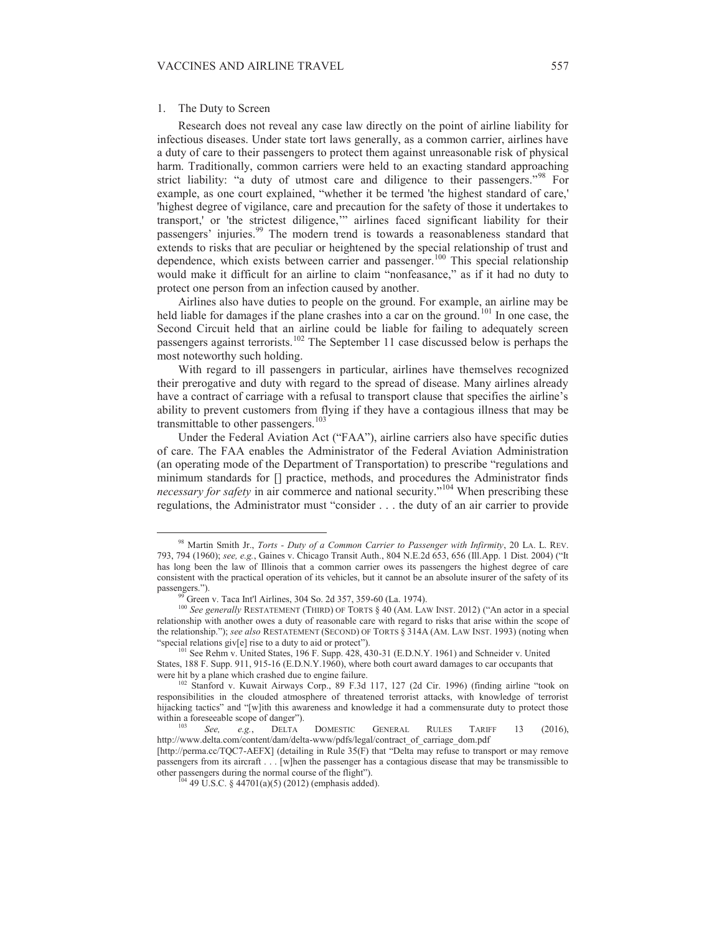# 1. The Duty to Screen

Research does not reveal any case law directly on the point of airline liability for infectious diseases. Under state tort laws generally, as a common carrier, airlines have a duty of care to their passengers to protect them against unreasonable risk of physical harm. Traditionally, common carriers were held to an exacting standard approaching strict liability: "a duty of utmost care and diligence to their passengers."98 For example, as one court explained, "whether it be termed 'the highest standard of care,' 'highest degree of vigilance, care and precaution for the safety of those it undertakes to transport,' or 'the strictest diligence,'" airlines faced significant liability for their passengers' injuries.99 The modern trend is towards a reasonableness standard that extends to risks that are peculiar or heightened by the special relationship of trust and dependence, which exists between carrier and passenger.<sup>100</sup> This special relationship would make it difficult for an airline to claim "nonfeasance," as if it had no duty to protect one person from an infection caused by another.

Airlines also have duties to people on the ground. For example, an airline may be held liable for damages if the plane crashes into a car on the ground.<sup>101</sup> In one case, the Second Circuit held that an airline could be liable for failing to adequately screen passengers against terrorists.102 The September 11 case discussed below is perhaps the most noteworthy such holding.

With regard to ill passengers in particular, airlines have themselves recognized their prerogative and duty with regard to the spread of disease. Many airlines already have a contract of carriage with a refusal to transport clause that specifies the airline's ability to prevent customers from flying if they have a contagious illness that may be transmittable to other passengers.<sup>103</sup>

Under the Federal Aviation Act ("FAA"), airline carriers also have specific duties of care. The FAA enables the Administrator of the Federal Aviation Administration (an operating mode of the Department of Transportation) to prescribe "regulations and minimum standards for [] practice, methods, and procedures the Administrator finds *necessary for safety* in air commerce and national security."<sup>104</sup> When prescribing these regulations, the Administrator must "consider . . . the duty of an air carrier to provide

 <sup>98</sup> Martin Smith Jr., *Torts - Duty of a Common Carrier to Passenger with Infirmity*, 20 LA. L. REV. 793, 794 (1960); *see, e.g.*, Gaines v. Chicago Transit Auth., 804 N.E.2d 653, 656 (Ill.App. 1 Dist. 2004) ("It has long been the law of Illinois that a common carrier owes its passengers the highest degree of care consistent with the practical operation of its vehicles, but it cannot be an absolute insurer of the safety of its passengers.").

<sup>99</sup> Green v. Taca Int'l Airlines, 304 So. 2d 357, 359-60 (La. 1974).

<sup>100</sup> *See generally* RESTATEMENT (THIRD) OF TORTS § 40 (AM. LAW INST. 2012) ("An actor in a special relationship with another owes a duty of reasonable care with regard to risks that arise within the scope of the relationship."); *see also* RESTATEMENT (SECOND) OF TORTS § 314A (AM. LAW INST. 1993) (noting when "special relations giv[e] rise to a duty to aid or protect").<br><sup>101</sup> See Rehm v. United States, 196 F. Supp. 428, 430-31 (E.D.N.Y. 1961) and Schneider v. United

States, 188 F. Supp. 911, 915-16 (E.D.N.Y.1960), where both court award damages to car occupants that were hit by a plane which crashed due to engine failure.<br><sup>102</sup> Stanford v. Kuwait Airways Corp., 89 F.3d 117, 127 (2d Cir. 1996) (finding airline "took on

responsibilities in the clouded atmosphere of threatened terrorist attacks, with knowledge of terrorist hijacking tactics" and "[w]ith this awareness and knowledge it had a commensurate duty to protect those within a foreseeable scope of danger").

<sup>103</sup> *See, e.g.*, DELTA DOMESTIC GENERAL RULES TARIFF 13 (2016), http://www.delta.com/content/dam/delta-www/pdfs/legal/contract\_of\_carriage\_dom.pdf

<sup>[</sup>http://perma.cc/TQC7-AEFX] (detailing in Rule 35(F) that "Delta may refuse to transport or may remove passengers from its aircraft . . . [w]hen the passenger has a contagious disease that may be transmissible to other passengers during the normal course of the flight").

 $104$  49 U.S.C. § 44701(a)(5) (2012) (emphasis added).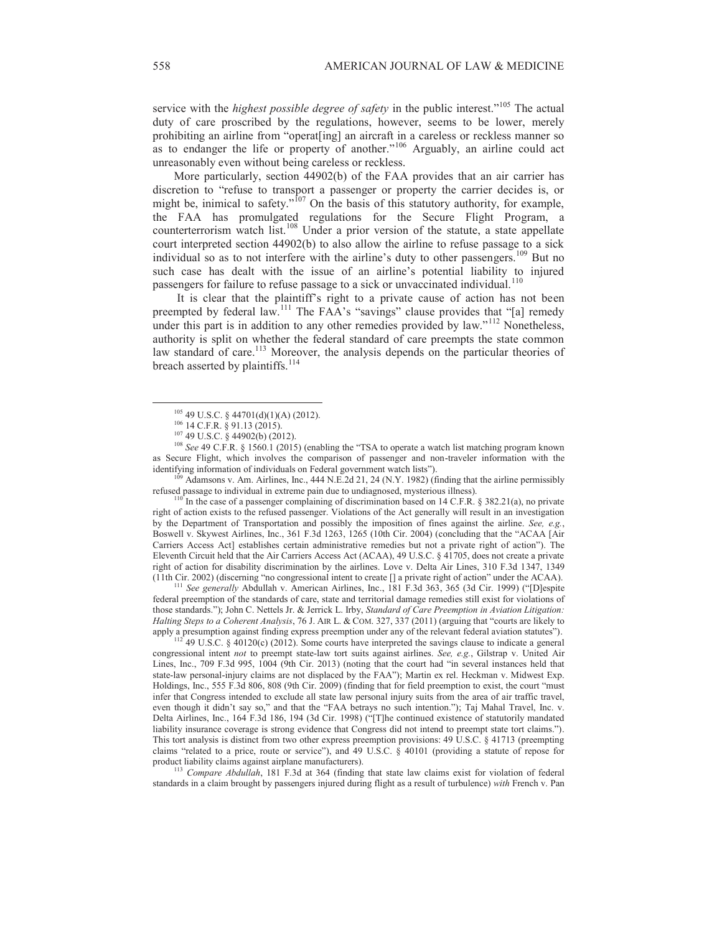service with the *highest possible degree of safety* in the public interest."<sup>105</sup> The actual duty of care proscribed by the regulations, however, seems to be lower, merely prohibiting an airline from "operat[ing] an aircraft in a careless or reckless manner so as to endanger the life or property of another."<sup>106</sup> Arguably, an airline could act unreasonably even without being careless or reckless.

More particularly, section 44902(b) of the FAA provides that an air carrier has discretion to "refuse to transport a passenger or property the carrier decides is, or might be, inimical to safety."<sup>107</sup> On the basis of this statutory authority, for example, the FAA has promulgated regulations for the Secure Flight Program, a counterterrorism watch list.<sup>108</sup> Under a prior version of the statute, a state appellate court interpreted section 44902(b) to also allow the airline to refuse passage to a sick individual so as to not interfere with the airline's duty to other passengers.<sup>109</sup> But no such case has dealt with the issue of an airline's potential liability to injured passengers for failure to refuse passage to a sick or unvaccinated individual.<sup>110</sup>

It is clear that the plaintiff's right to a private cause of action has not been preempted by federal law.<sup>111</sup> The FAA's "savings" clause provides that "[a] remedy under this part is in addition to any other remedies provided by law."<sup>112</sup> Nonetheless, authority is split on whether the federal standard of care preempts the state common law standard of care.<sup>113</sup> Moreover, the analysis depends on the particular theories of breach asserted by plaintiffs.<sup>114</sup>

<sup>105</sup> 49 U.S.C. § 44701(d)(1)(A) (2012).<br><sup>106</sup> 14 C.F.R. § 91.13 (2015).<br><sup>107</sup> 49 U.S.C. § 44902(b) (2012).<br><sup>108</sup> *See* 49 C.F.R. § 1560.1 (2015) (enabling the "TSA to operate a watch list matching program known as Secure Flight, which involves the comparison of passenger and non-traveler information with the identifying information of individuals on Federal government watch lists").

 $1^{169}$  Adamsons v. Am. Airlines, Inc., 444 N.E.2d 21, 24 (N.Y. 1982) (finding that the airline permissibly refused passage to individual in extreme pain due to undiagnosed, mysterious illness).

<sup>110</sup> In the case of a passenger complaining of discrimination based on 14 C.F.R. § 382.21(a), no private right of action exists to the refused passenger. Violations of the Act generally will result in an investigation by the Department of Transportation and possibly the imposition of fines against the airline. *See, e.g.*, Boswell v. Skywest Airlines, Inc., 361 F.3d 1263, 1265 (10th Cir. 2004) (concluding that the "ACAA [Air Carriers Access Act] establishes certain administrative remedies but not a private right of action"). The Eleventh Circuit held that the Air Carriers Access Act (ACAA), 49 U.S.C. § 41705, does not create a private right of action for disability discrimination by the airlines. Love v. Delta Air Lines, 310 F.3d 1347, 1349 (11th Cir. 2002) (discerning "no congressional intent to create [] a private right of action" under the ACAA). 111 *See generally* Abdullah v. American Airlines, Inc., 181 F.3d 363, 365 (3d Cir. 1999) ("[D]espite

federal preemption of the standards of care, state and territorial damage remedies still exist for violations of those standards."); John C. Nettels Jr. & Jerrick L. Irby, *Standard of Care Preemption in Aviation Litigation: Halting Steps to a Coherent Analysis*, 76 J. AIR L. & COM. 327, 337 (2011) (arguing that "courts are likely to apply a presumption against finding express preemption under any of the relevant federal aviation statutes").

 $112^{2}$  49 U.S.C. § 40120(c) (2012). Some courts have interpreted the savings clause to indicate a general congressional intent *not* to preempt state-law tort suits against airlines. *See, e.g.*, Gilstrap v. United Air Lines, Inc., 709 F.3d 995, 1004 (9th Cir. 2013) (noting that the court had "in several instances held that state-law personal-injury claims are not displaced by the FAA"); Martin ex rel. Heckman v. Midwest Exp. Holdings, Inc., 555 F.3d 806, 808 (9th Cir. 2009) (finding that for field preemption to exist, the court "must infer that Congress intended to exclude all state law personal injury suits from the area of air traffic travel, even though it didn't say so," and that the "FAA betrays no such intention."); Taj Mahal Travel, Inc. v. Delta Airlines, Inc., 164 F.3d 186, 194 (3d Cir. 1998) ("[T]he continued existence of statutorily mandated liability insurance coverage is strong evidence that Congress did not intend to preempt state tort claims."). This tort analysis is distinct from two other express preemption provisions: 49 U.S.C. § 41713 (preempting claims "related to a price, route or service"), and 49 U.S.C.  $\hat{\S}$  40101 (providing a statute of repose for product liability claims against airplane manufacturers).

<sup>113</sup> *Compare Abdullah*, 181 F.3d at 364 (finding that state law claims exist for violation of federal standards in a claim brought by passengers injured during flight as a result of turbulence) *with* French v. Pan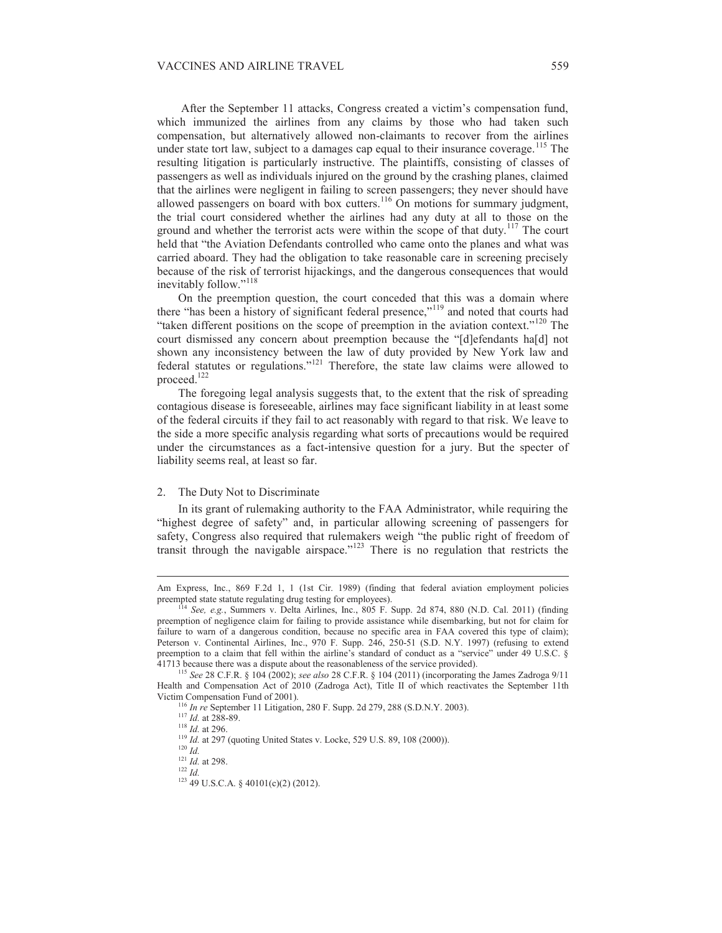After the September 11 attacks, Congress created a victim's compensation fund, which immunized the airlines from any claims by those who had taken such compensation, but alternatively allowed non-claimants to recover from the airlines under state tort law, subject to a damages cap equal to their insurance coverage.<sup>115</sup> The resulting litigation is particularly instructive. The plaintiffs, consisting of classes of passengers as well as individuals injured on the ground by the crashing planes, claimed that the airlines were negligent in failing to screen passengers; they never should have allowed passengers on board with box cutters.<sup>116</sup> On motions for summary judgment, the trial court considered whether the airlines had any duty at all to those on the ground and whether the terrorist acts were within the scope of that duty.<sup>117</sup> The court held that "the Aviation Defendants controlled who came onto the planes and what was carried aboard. They had the obligation to take reasonable care in screening precisely because of the risk of terrorist hijackings, and the dangerous consequences that would inevitably follow."<sup>118</sup>

On the preemption question, the court conceded that this was a domain where there "has been a history of significant federal presence,"119 and noted that courts had "taken different positions on the scope of preemption in the aviation context."<sup>120</sup> The court dismissed any concern about preemption because the "[d]efendants ha[d] not shown any inconsistency between the law of duty provided by New York law and federal statutes or regulations."121 Therefore, the state law claims were allowed to proceed.<sup>122</sup>

The foregoing legal analysis suggests that, to the extent that the risk of spreading contagious disease is foreseeable, airlines may face significant liability in at least some of the federal circuits if they fail to act reasonably with regard to that risk. We leave to the side a more specific analysis regarding what sorts of precautions would be required under the circumstances as a fact-intensive question for a jury. But the specter of liability seems real, at least so far.

# 2. The Duty Not to Discriminate

In its grant of rulemaking authority to the FAA Administrator, while requiring the "highest degree of safety" and, in particular allowing screening of passengers for safety, Congress also required that rulemakers weigh "the public right of freedom of transit through the navigable airspace."<sup>123</sup> There is no regulation that restricts the

 $\overline{a}$ 

Am Express, Inc., 869 F.2d 1, 1 (1st Cir. 1989) (finding that federal aviation employment policies preempted state statute regulating drug testing for employees).

*See, e.g.*, Summers v. Delta Airlines, Inc., 805 F. Supp. 2d 874, 880 (N.D. Cal. 2011) (finding preemption of negligence claim for failing to provide assistance while disembarking, but not for claim for failure to warn of a dangerous condition, because no specific area in FAA covered this type of claim); Peterson v. Continental Airlines, Inc., 970 F. Supp. 246, 250-51 (S.D. N.Y. 1997) (refusing to extend preemption to a claim that fell within the airline's standard of conduct as a "service" under 49 U.S.C. § 41713 because there was a dispute about the reasonableness of the service provided). 115 *See* 28 C.F.R. § 104 (2002); *see also* 28 C.F.R. § 104 (2011) (incorporating the James Zadroga 9/11

Health and Compensation Act of 2010 (Zadroga Act), Title II of which reactivates the September 11th Victim Compensation Fund of 2001).<br>
<sup>116</sup> *In re* September 11 Litigation, 280 F. Supp. 2d 279, 288 (S.D.N.Y. 2003).<br>
<sup>117</sup> *Id.* at 288-89.<br>
<sup>118</sup> *Id.* at 296.<br>
<sup>119</sup> *Id.* at 297 (quoting United States v. Locke, 529 U.

<sup>121</sup> *Id.* at 298. 122 *Id.*

<sup>123 49</sup> U.S.C.A. § 40101(c)(2) (2012).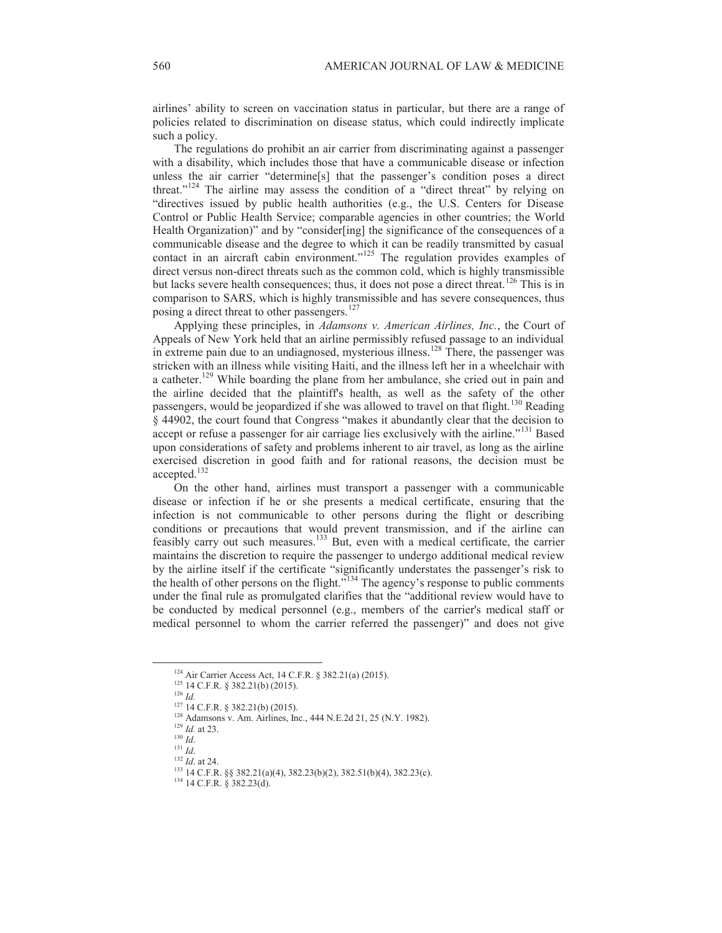airlines' ability to screen on vaccination status in particular, but there are a range of policies related to discrimination on disease status, which could indirectly implicate such a policy.

The regulations do prohibit an air carrier from discriminating against a passenger with a disability, which includes those that have a communicable disease or infection unless the air carrier "determine[s] that the passenger's condition poses a direct threat."<sup>124</sup> The airline may assess the condition of a "direct threat" by relying on "directives issued by public health authorities (e.g., the U.S. Centers for Disease Control or Public Health Service; comparable agencies in other countries; the World Health Organization)" and by "consider[ing] the significance of the consequences of a communicable disease and the degree to which it can be readily transmitted by casual contact in an aircraft cabin environment."<sup>125</sup> The regulation provides examples of direct versus non-direct threats such as the common cold, which is highly transmissible but lacks severe health consequences; thus, it does not pose a direct threat.<sup>126</sup> This is in comparison to SARS, which is highly transmissible and has severe consequences, thus posing a direct threat to other passengers.<sup>127</sup>

Applying these principles, in *Adamsons v. American Airlines, Inc.*, the Court of Appeals of New York held that an airline permissibly refused passage to an individual in extreme pain due to an undiagnosed, mysterious illness.<sup>128</sup> There, the passenger was stricken with an illness while visiting Haiti, and the illness left her in a wheelchair with a catheter.<sup>129</sup> While boarding the plane from her ambulance, she cried out in pain and the airline decided that the plaintiff's health, as well as the safety of the other passengers, would be jeopardized if she was allowed to travel on that flight.<sup>130</sup> Reading § 44902, the court found that Congress "makes it abundantly clear that the decision to accept or refuse a passenger for air carriage lies exclusively with the airline."<sup>131</sup> Based upon considerations of safety and problems inherent to air travel, as long as the airline exercised discretion in good faith and for rational reasons, the decision must be accepted.<sup>132</sup>

On the other hand, airlines must transport a passenger with a communicable disease or infection if he or she presents a medical certificate, ensuring that the infection is not communicable to other persons during the flight or describing conditions or precautions that would prevent transmission, and if the airline can feasibly carry out such measures.133 But, even with a medical certificate, the carrier maintains the discretion to require the passenger to undergo additional medical review by the airline itself if the certificate "significantly understates the passenger's risk to the health of other persons on the flight."<sup>134</sup> The agency's response to public comments under the final rule as promulgated clarifies that the "additional review would have to be conducted by medical personnel (e.g., members of the carrier's medical staff or medical personnel to whom the carrier referred the passenger)" and does not give

<sup>1&</sup>lt;sup>24</sup> Air Carrier Access Act, 14 C.F.R. § 382.21(a) (2015).<br><sup>125</sup> 14 C.F.R. § 382.21(b) (2015).<br><sup>126</sup> *Id.* <sup>127</sup> 14 C.F.R. § 382.21(b) (2015).

<sup>&</sup>lt;sup>128</sup> Adamsons v. Am. Airlines, Inc., 444 N.E.2d 21, 25 (N.Y. 1982).<br><sup>129</sup> *Id.* at 23.<br><sup>130</sup> *Id.*<br><sup>131</sup> *Id.*<br><sup>131</sup> *Id.*<br><sup>132</sup> *Id.* at 24.<br><sup>132</sup> 14 C.F.R. §§ 382.21(a)(4), 382.23(b)(2), 382.51(b)(4), 382.23(c).<br><sup>134</sup>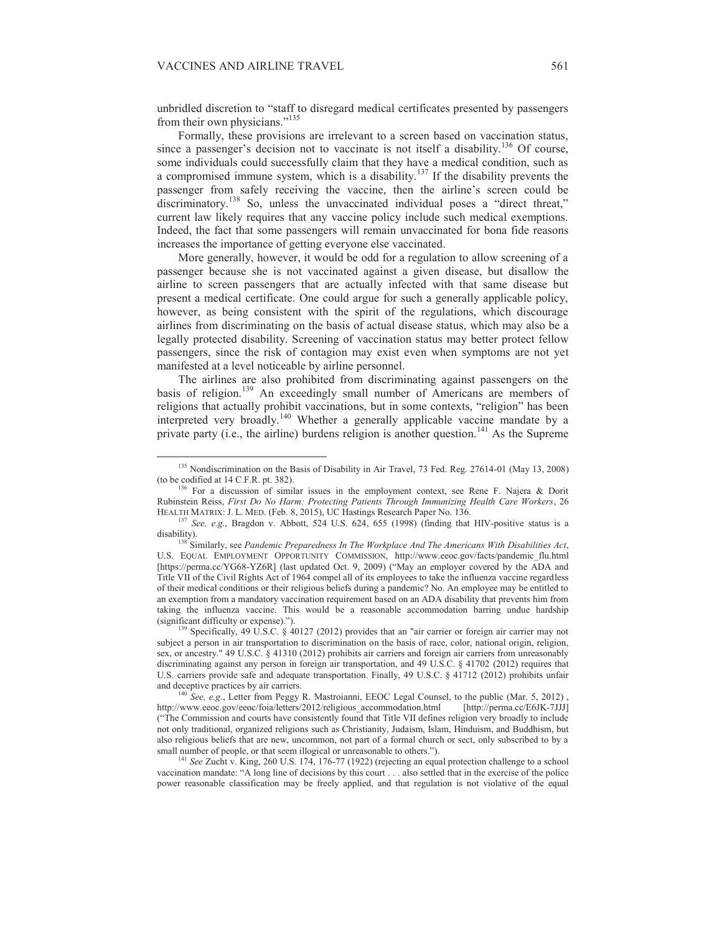unbridled discretion to "staff to disregard medical certificates presented by passengers from their own physicians."<sup>135</sup>

Formally, these provisions are irrelevant to a screen based on vaccination status, since a passenger's decision not to vaccinate is not itself a disability.<sup>136</sup> Of course, some individuals could successfully claim that they have a medical condition, such as a compromised immune system, which is a disability.137 If the disability prevents the passenger from safely receiving the vaccine, then the airline's screen could be discriminatory.<sup>138</sup> So, unless the unvaccinated individual poses a "direct threat," current law likely requires that any vaccine policy include such medical exemptions. Indeed, the fact that some passengers will remain unvaccinated for bona fide reasons increases the importance of getting everyone else vaccinated.

More generally, however, it would be odd for a regulation to allow screening of a passenger because she is not vaccinated against a given disease, but disallow the airline to screen passengers that are actually infected with that same disease but present a medical certificate. One could argue for such a generally applicable policy, however, as being consistent with the spirit of the regulations, which discourage airlines from discriminating on the basis of actual disease status, which may also be a legally protected disability. Screening of vaccination status may better protect fellow passengers, since the risk of contagion may exist even when symptoms are not yet manifested at a level noticeable by airline personnel.

The airlines are also prohibited from discriminating against passengers on the basis of religion.<sup>139</sup> An exceedingly small number of Americans are members of religions that actually prohibit vaccinations, but in some contexts, "religion" has been interpreted very broadly.140 Whether a generally applicable vaccine mandate by a private party (i.e., the airline) burdens religion is another question.<sup>141</sup> As the Supreme

<sup>&</sup>lt;sup>135</sup> Nondiscrimination on the Basis of Disability in Air Travel, 73 Fed. Reg. 27614-01 (May 13, 2008) (to be codified at 14 C.F.R. pt. 382).

<sup>&</sup>lt;sup>136</sup> For a discussion of similar issues in the employment context, see Rene F. Najera & Dorit Rubinstein Reiss, *First Do No Harm: Protecting Patients Through Immunizing Health Care Workers*, 26 HEALTH MATRIX: J. L. MED. (Feb. 8, 2015), UC Hastings Research Paper No. 136.<br><sup>137</sup> *See, e.g.*, Bragdon v. Abbott, 524 U.S. 624, 655 (1998) (finding that HIV-positive status is a

disability). 138 Similarly, see *Pandemic Preparedness In The Workplace And The Americans With Disabilities Act*,

U.S. EQUAL EMPLOYMENT OPPORTUNITY COMMISSION, http://www.eeoc.gov/facts/pandemic\_flu.html [https://perma.cc/YG68-YZ6R] (last updated Oct. 9, 2009) ("May an employer covered by the ADA and Title VII of the Civil Rights Act of 1964 compel all of its employees to take the influenza vaccine regardless of their medical conditions or their religious beliefs during a pandemic? No. An employee may be entitled to an exemption from a mandatory vaccination requirement based on an ADA disability that prevents him from taking the influenza vaccine. This would be a reasonable accommodation barring undue hardship (significant difficulty or expense).").

<sup>&</sup>lt;sup>139</sup> Specifically, 49 U.S.C. § 40127 (2012) provides that an "air carrier or foreign air carrier may not subject a person in air transportation to discrimination on the basis of race, color, national origin, religion, sex, or ancestry." 49 U.S.C. § 41310 (2012) prohibits air carriers and foreign air carriers from unreasonably discriminating against any person in foreign air transportation, and 49 U.S.C. § 41702 (2012) requires that U.S. carriers provide safe and adequate transportation. Finally, 49 U.S.C. § 41712 (2012) prohibits unfair and deceptive practices by air carriers.<br><sup>140</sup> *See, e.g.*, Letter from Peggy R. Mastroianni, EEOC Legal Counsel, to the public (Mar. 5, 2012),

http://www.eeoc.gov/eeoc/foia/letters/2012/religious\_accommodation.html [http://perma.cc/E6JK-7JJJ] ("The Commission and courts have consistently found that Title VII defines religion very broadly to include not only traditional, organized religions such as Christianity, Judaism, Islam, Hinduism, and Buddhism, but also religious beliefs that are new, uncommon, not part of a formal church or sect, only subscribed to by a small number of people, or that seem illogical or unreasonable to others.").

<sup>&</sup>lt;sup>141</sup> See Zucht v. King, 260 U.S. 174, 176-77 (1922) (rejecting an equal protection challenge to a school vaccination mandate: "A long line of decisions by this court . . . also settled that in the exercise of the police power reasonable classification may be freely applied, and that regulation is not violative of the equal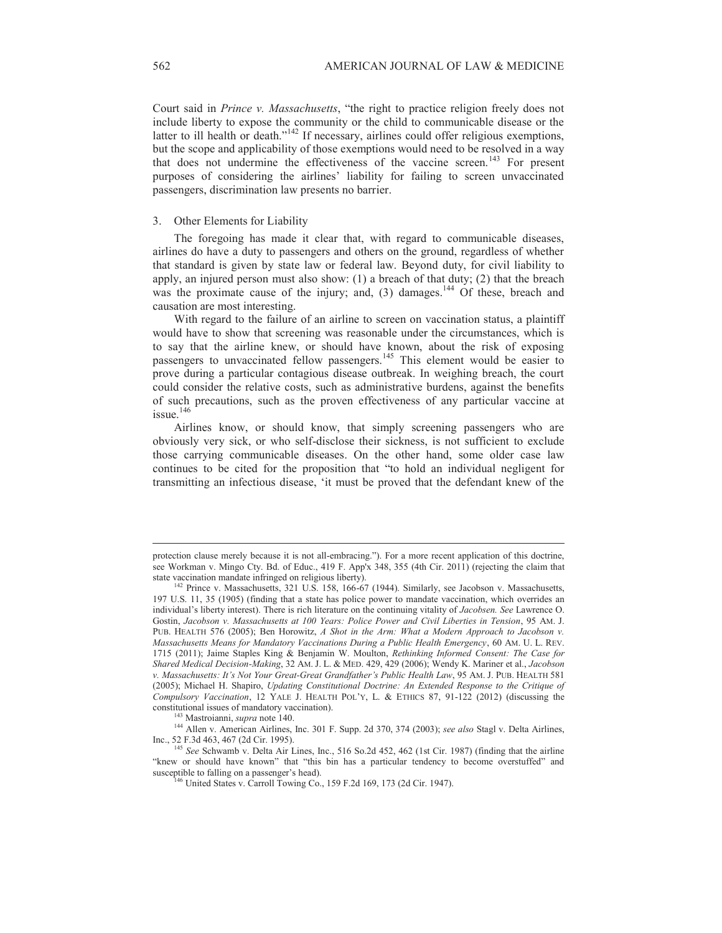Court said in *Prince v. Massachusetts*, "the right to practice religion freely does not include liberty to expose the community or the child to communicable disease or the latter to ill health or death."<sup>142</sup> If necessary, airlines could offer religious exemptions, but the scope and applicability of those exemptions would need to be resolved in a way that does not undermine the effectiveness of the vaccine screen.<sup>143</sup> For present purposes of considering the airlines' liability for failing to screen unvaccinated passengers, discrimination law presents no barrier.

# 3. Other Elements for Liability

The foregoing has made it clear that, with regard to communicable diseases, airlines do have a duty to passengers and others on the ground, regardless of whether that standard is given by state law or federal law. Beyond duty, for civil liability to apply, an injured person must also show:  $(1)$  a breach of that duty;  $(2)$  that the breach was the proximate cause of the injury; and, (3) damages.<sup>144</sup> Of these, breach and causation are most interesting.

With regard to the failure of an airline to screen on vaccination status, a plaintiff would have to show that screening was reasonable under the circumstances, which is to say that the airline knew, or should have known, about the risk of exposing passengers to unvaccinated fellow passengers.<sup>145</sup> This element would be easier to prove during a particular contagious disease outbreak. In weighing breach, the court could consider the relative costs, such as administrative burdens, against the benefits of such precautions, such as the proven effectiveness of any particular vaccine at issue.146

Airlines know, or should know, that simply screening passengers who are obviously very sick, or who self-disclose their sickness, is not sufficient to exclude those carrying communicable diseases. On the other hand, some older case law continues to be cited for the proposition that "to hold an individual negligent for transmitting an infectious disease, 'it must be proved that the defendant knew of the

 $\overline{a}$ 

protection clause merely because it is not all-embracing."). For a more recent application of this doctrine, see Workman v. Mingo Cty. Bd. of Educ., 419 F. App'x 348, 355 (4th Cir. 2011) (rejecting the claim that state vaccination mandate infringed on religious liberty).<br><sup>142</sup> Prince v. Massachusetts, 321 U.S. 158, 166-67 (1944). Similarly, see Jacobson v. Massachusetts,

<sup>197</sup> U.S. 11, 35 (1905) (finding that a state has police power to mandate vaccination, which overrides an individual's liberty interest). There is rich literature on the continuing vitality of *Jacobsen. See* Lawrence O. Gostin, *Jacobson v. Massachusetts at 100 Years: Police Power and Civil Liberties in Tension*, 95 AM. J. PUB. HEALTH 576 (2005); Ben Horowitz, *A Shot in the Arm: What a Modern Approach to Jacobson v. Massachusetts Means for Mandatory Vaccinations During a Public Health Emergency*, 60 AM. U. L. REV. 1715 (2011); Jaime Staples King & Benjamin W. Moulton, *Rethinking Informed Consent: The Case for Shared Medical Decision-Making*, 32 AM. J. L. & MED. 429, 429 (2006); Wendy K. Mariner et al., *Jacobson v. Massachusetts: It's Not Your Great-Great Grandfather's Public Health Law*, 95 AM. J. PUB. HEALTH 581 (2005); Michael H. Shapiro, *Updating Constitutional Doctrine: An Extended Response to the Critique of Compulsory Vaccination*, 12 YALE J. HEALTH POL'Y, L. & ETHICS 87, 91-122 (2012) (discussing the constitutional issues of mandatory vaccination).

<sup>&</sup>lt;sup>143</sup> Mastroianni, *supra* note 140.<br><sup>144</sup> Allen v. American Airlines, Inc. 301 F. Supp. 2d 370, 374 (2003); *see also* Stagl v. Delta Airlines, Inc., 52 F.3d 463, 467 (2d Cir. 1995).

<sup>&</sup>lt;sup>145</sup> See Schwamb v. Delta Air Lines, Inc., 516 So.2d 452, 462 (1st Cir. 1987) (finding that the airline "knew or should have known" that "this bin has a particular tendency to become overstuffed" and susceptible to falling on a passenger's head).

<sup>146</sup> United States v. Carroll Towing Co., 159 F.2d 169, 173 (2d Cir. 1947).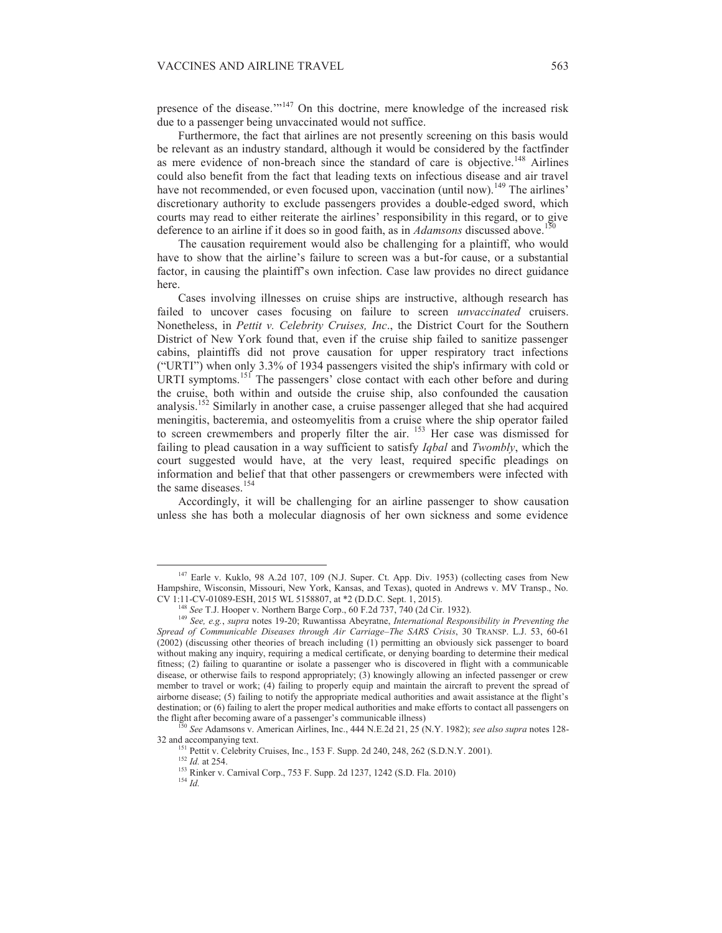presence of the disease.'"147 On this doctrine, mere knowledge of the increased risk due to a passenger being unvaccinated would not suffice.

Furthermore, the fact that airlines are not presently screening on this basis would be relevant as an industry standard, although it would be considered by the factfinder as mere evidence of non-breach since the standard of care is objective.<sup>148</sup> Airlines could also benefit from the fact that leading texts on infectious disease and air travel have not recommended, or even focused upon, vaccination (until now).<sup>149</sup> The airlines' discretionary authority to exclude passengers provides a double-edged sword, which courts may read to either reiterate the airlines' responsibility in this regard, or to give deference to an airline if it does so in good faith, as in *Adamsons* discussed above.<sup>150</sup>

The causation requirement would also be challenging for a plaintiff, who would have to show that the airline's failure to screen was a but-for cause, or a substantial factor, in causing the plaintiff's own infection. Case law provides no direct guidance here.

Cases involving illnesses on cruise ships are instructive, although research has failed to uncover cases focusing on failure to screen *unvaccinated* cruisers. Nonetheless, in *Pettit v. Celebrity Cruises, Inc*., the District Court for the Southern District of New York found that, even if the cruise ship failed to sanitize passenger cabins, plaintiffs did not prove causation for upper respiratory tract infections ("URTI") when only 3.3% of 1934 passengers visited the ship's infirmary with cold or URTI symptoms.<sup>151</sup> The passengers' close contact with each other before and during the cruise, both within and outside the cruise ship, also confounded the causation analysis.152 Similarly in another case, a cruise passenger alleged that she had acquired meningitis, bacteremia, and osteomyelitis from a cruise where the ship operator failed to screen crewmembers and properly filter the air. <sup>153</sup> Her case was dismissed for failing to plead causation in a way sufficient to satisfy *Iqbal* and *Twombly*, which the court suggested would have, at the very least, required specific pleadings on information and belief that that other passengers or crewmembers were infected with the same diseases.<sup>154</sup>

Accordingly, it will be challenging for an airline passenger to show causation unless she has both a molecular diagnosis of her own sickness and some evidence

<sup>&</sup>lt;sup>147</sup> Earle v. Kuklo, 98 A.2d 107, 109 (N.J. Super. Ct. App. Div. 1953) (collecting cases from New Hampshire, Wisconsin, Missouri, New York, Kansas, and Texas), quoted in Andrews v. MV Transp., No. CV 1:11-CV-01089-ESH, 2015 WL 5158807, at \*2 (D.D.C. Sept. 1, 2015).

<sup>&</sup>lt;sup>148</sup> See T.J. Hooper v. Northern Barge Corp., 60 F.2d 737, 740 (2d Cir. 1932).<br><sup>149</sup> See, e.g., supra notes 19-20; Ruwantissa Abeyratne, *International Responsibility in Preventing the Spread of Communicable Diseases through Air Carriage–The SARS Crisis*, 30 TRANSP. L.J. 53, 60-61 (2002) (discussing other theories of breach including (1) permitting an obviously sick passenger to board without making any inquiry, requiring a medical certificate, or denying boarding to determine their medical fitness; (2) failing to quarantine or isolate a passenger who is discovered in flight with a communicable disease, or otherwise fails to respond appropriately; (3) knowingly allowing an infected passenger or crew member to travel or work; (4) failing to properly equip and maintain the aircraft to prevent the spread of airborne disease; (5) failing to notify the appropriate medical authorities and await assistance at the flight's destination; or (6) failing to alert the proper medical authorities and make efforts to contact all passengers on the flight after becoming aware of a passenger's communicable illness)

<sup>150</sup> *See* Adamsons v. American Airlines, Inc., 444 N.E.2d 21, 25 (N.Y. 1982); *see also supra* notes 128-

<sup>&</sup>lt;sup>151</sup> Pettit v. Celebrity Cruises, Inc., 153 F. Supp. 2d 240, 248, 262 (S.D.N.Y. 2001). <sup>152</sup> *Id.* at 254. 153 Rinker v. Carnival Corp., 753 F. Supp. 2d 1237, 1242 (S.D. Fla. 2010) <sup>154</sup> *Id*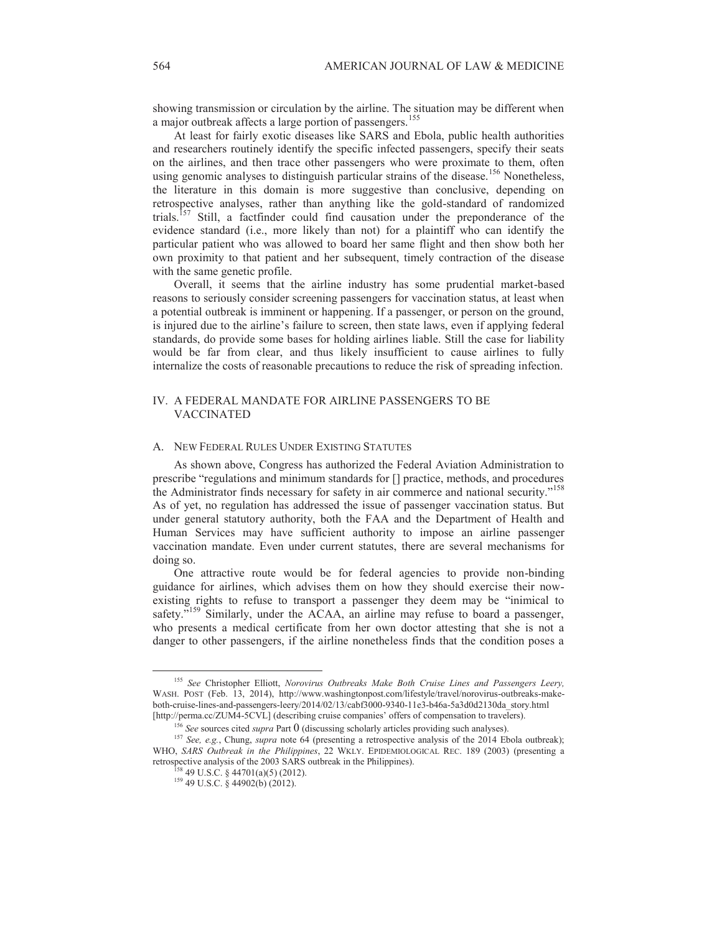showing transmission or circulation by the airline. The situation may be different when a major outbreak affects a large portion of passengers.<sup>155</sup>

At least for fairly exotic diseases like SARS and Ebola, public health authorities and researchers routinely identify the specific infected passengers, specify their seats on the airlines, and then trace other passengers who were proximate to them, often using genomic analyses to distinguish particular strains of the disease.<sup>156</sup> Nonetheless, the literature in this domain is more suggestive than conclusive, depending on retrospective analyses, rather than anything like the gold-standard of randomized trials.157 Still, a factfinder could find causation under the preponderance of the evidence standard (i.e., more likely than not) for a plaintiff who can identify the particular patient who was allowed to board her same flight and then show both her own proximity to that patient and her subsequent, timely contraction of the disease with the same genetic profile.

Overall, it seems that the airline industry has some prudential market-based reasons to seriously consider screening passengers for vaccination status, at least when a potential outbreak is imminent or happening. If a passenger, or person on the ground, is injured due to the airline's failure to screen, then state laws, even if applying federal standards, do provide some bases for holding airlines liable. Still the case for liability would be far from clear, and thus likely insufficient to cause airlines to fully internalize the costs of reasonable precautions to reduce the risk of spreading infection.

# IV. A FEDERAL MANDATE FOR AIRLINE PASSENGERS TO BE VACCINATED

## A. NEW FEDERAL RULES UNDER EXISTING STATUTES

As shown above, Congress has authorized the Federal Aviation Administration to prescribe "regulations and minimum standards for [] practice, methods, and procedures the Administrator finds necessary for safety in air commerce and national security."<sup>158</sup> As of yet, no regulation has addressed the issue of passenger vaccination status. But under general statutory authority, both the FAA and the Department of Health and Human Services may have sufficient authority to impose an airline passenger vaccination mandate. Even under current statutes, there are several mechanisms for doing so.

One attractive route would be for federal agencies to provide non-binding guidance for airlines, which advises them on how they should exercise their nowexisting rights to refuse to transport a passenger they deem may be "inimical to safety.<sup> $159$ </sup> Similarly, under the ACAA, an airline may refuse to board a passenger, who presents a medical certificate from her own doctor attesting that she is not a danger to other passengers, if the airline nonetheless finds that the condition poses a

 <sup>155</sup> *See* Christopher Elliott, *Norovirus Outbreaks Make Both Cruise Lines and Passengers Leery,*  WASH. POST (Feb. 13, 2014), http://www.washingtonpost.com/lifestyle/travel/norovirus-outbreaks-makeboth-cruise-lines-and-passengers-leery/2014/02/13/cabf3000-9340-11e3-b46a-5a3d0d2130da\_story.html<br>[http://perma.cc/ZUM4-5CVL] (describing cruise companies' offers of compensation to travelers).

<sup>&</sup>lt;sup>156</sup> See sources cited *supra* Part  $\hat{0}$  (discussing scholarly articles providing such analyses).<br><sup>157</sup> See, e.g., Chung, *supra* note 64 (presenting a retrospective analysis of the 2014 Ebola outbreak); WHO, *SARS Outbreak in the Philippines*, 22 WKLY. EPIDEMIOLOGICAL REC. 189 (2003) (presenting a retrospective analysis of the 2003 SARS outbreak in the Philippines). <sup>158</sup> 49 U.S.C. § 44701(a)(5) (2012). <sup>159</sup> 49 U.S.C. § 44902(b) (2012).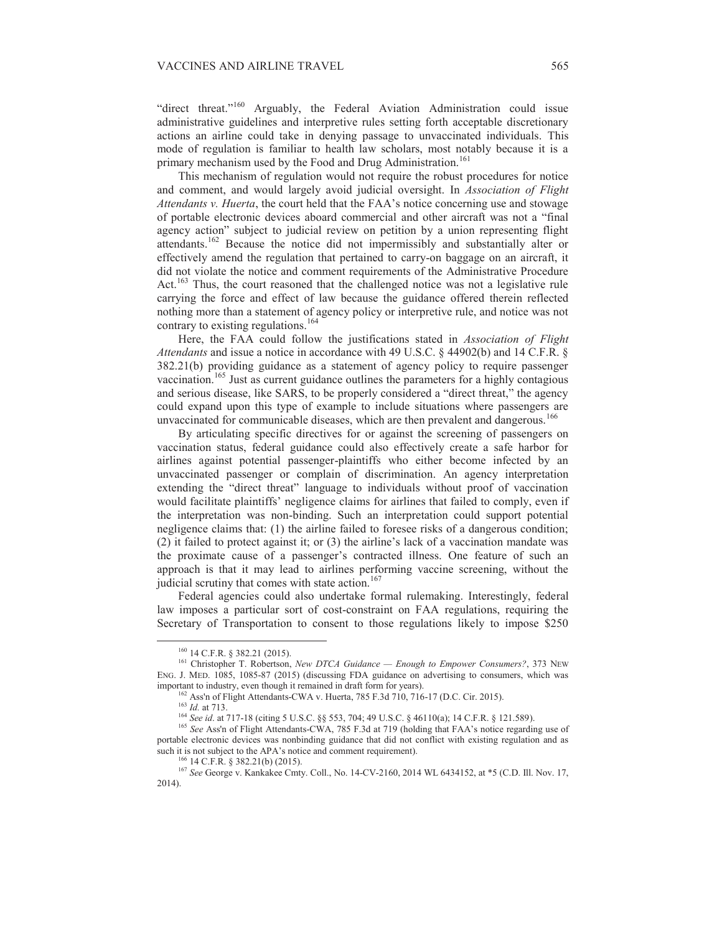"direct threat."160 Arguably, the Federal Aviation Administration could issue administrative guidelines and interpretive rules setting forth acceptable discretionary actions an airline could take in denying passage to unvaccinated individuals. This mode of regulation is familiar to health law scholars, most notably because it is a primary mechanism used by the Food and Drug Administration.<sup>161</sup>

This mechanism of regulation would not require the robust procedures for notice and comment, and would largely avoid judicial oversight. In *Association of Flight Attendants v. Huerta*, the court held that the FAA's notice concerning use and stowage of portable electronic devices aboard commercial and other aircraft was not a "final agency action" subject to judicial review on petition by a union representing flight attendants.162 Because the notice did not impermissibly and substantially alter or effectively amend the regulation that pertained to carry-on baggage on an aircraft, it did not violate the notice and comment requirements of the Administrative Procedure Act.<sup>163</sup> Thus, the court reasoned that the challenged notice was not a legislative rule carrying the force and effect of law because the guidance offered therein reflected nothing more than a statement of agency policy or interpretive rule, and notice was not contrary to existing regulations.<sup>164</sup>

Here, the FAA could follow the justifications stated in *Association of Flight Attendants* and issue a notice in accordance with 49 U.S.C. § 44902(b) and 14 C.F.R. § 382.21(b) providing guidance as a statement of agency policy to require passenger vaccination.<sup>165</sup> Just as current guidance outlines the parameters for a highly contagious and serious disease, like SARS, to be properly considered a "direct threat," the agency could expand upon this type of example to include situations where passengers are unvaccinated for communicable diseases, which are then prevalent and dangerous.<sup>166</sup>

By articulating specific directives for or against the screening of passengers on vaccination status, federal guidance could also effectively create a safe harbor for airlines against potential passenger-plaintiffs who either become infected by an unvaccinated passenger or complain of discrimination. An agency interpretation extending the "direct threat" language to individuals without proof of vaccination would facilitate plaintiffs' negligence claims for airlines that failed to comply, even if the interpretation was non-binding. Such an interpretation could support potential negligence claims that: (1) the airline failed to foresee risks of a dangerous condition; (2) it failed to protect against it; or (3) the airline's lack of a vaccination mandate was the proximate cause of a passenger's contracted illness. One feature of such an approach is that it may lead to airlines performing vaccine screening, without the judicial scrutiny that comes with state action.<sup>167</sup>

Federal agencies could also undertake formal rulemaking. Interestingly, federal law imposes a particular sort of cost-constraint on FAA regulations, requiring the Secretary of Transportation to consent to those regulations likely to impose \$250

 <sup>160 14</sup> C.F.R. § 382.21 (2015). 161 Christopher T. Robertson, *New DTCA Guidance — Enough to Empower Consumers?*, 373 NEW ENG. J. MED. 1085, 1085-87 (2015) (discussing FDA guidance on advertising to consumers, which was

important to industry, even though it remained in draft form for years).<br>
<sup>162</sup> Ass'n of Flight Attendants-CWA v. Huerta, 785 F.3d 710, 716-17 (D.C. Cir. 2015).<br>
<sup>163</sup> *Id.* at 713.<br>
<sup>164</sup> *See id.* at 717-18 (citing 5 U. portable electronic devices was nonbinding guidance that did not conflict with existing regulation and as such it is not subject to the APA's notice and comment requirement).<br><sup>166</sup> 14 C.F.R. § 382.21(b) (2015).

<sup>&</sup>lt;sup>167</sup> See George v. Kankakee Cmty. Coll., No. 14-CV-2160, 2014 WL 6434152, at \*5 (C.D. Ill. Nov. 17, 2014).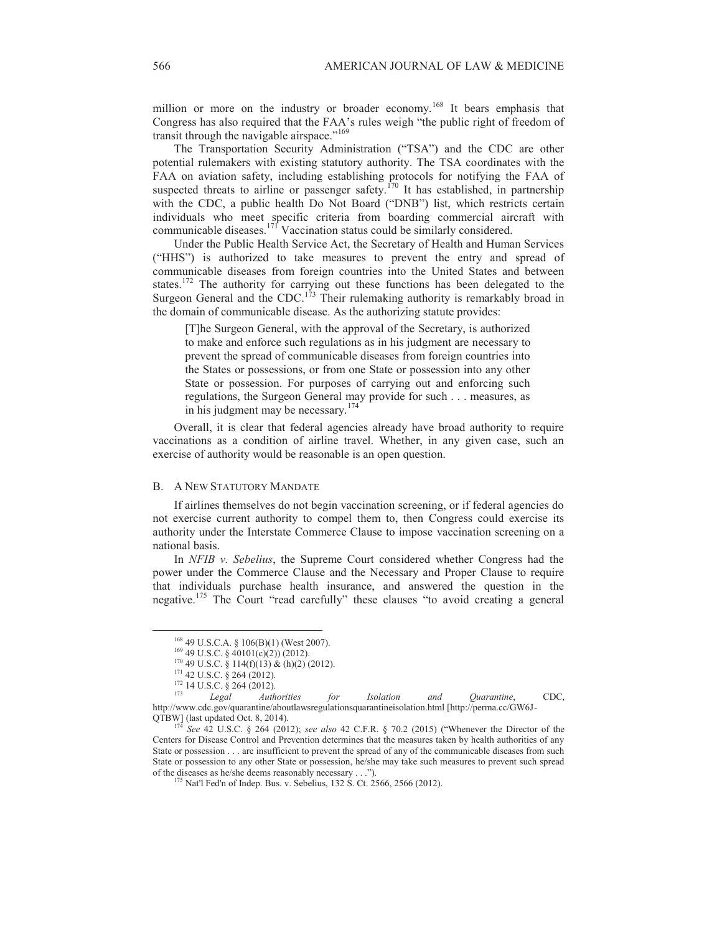million or more on the industry or broader economy.<sup>168</sup> It bears emphasis that Congress has also required that the FAA's rules weigh "the public right of freedom of transit through the navigable airspace."<sup>169</sup>

The Transportation Security Administration ("TSA") and the CDC are other potential rulemakers with existing statutory authority. The TSA coordinates with the FAA on aviation safety, including establishing protocols for notifying the FAA of suspected threats to airline or passenger safety.<sup>170</sup> It has established, in partnership with the CDC, a public health Do Not Board ("DNB") list, which restricts certain individuals who meet specific criteria from boarding commercial aircraft with communicable diseases.<sup>171</sup> Vaccination status could be similarly considered.

Under the Public Health Service Act, the Secretary of Health and Human Services ("HHS") is authorized to take measures to prevent the entry and spread of communicable diseases from foreign countries into the United States and between states.<sup>172</sup> The authority for carrying out these functions has been delegated to the Surgeon General and the  $CDC$ <sup>173</sup>. Their rulemaking authority is remarkably broad in the domain of communicable disease. As the authorizing statute provides:

[T]he Surgeon General, with the approval of the Secretary, is authorized to make and enforce such regulations as in his judgment are necessary to prevent the spread of communicable diseases from foreign countries into the States or possessions, or from one State or possession into any other State or possession. For purposes of carrying out and enforcing such regulations, the Surgeon General may provide for such . . . measures, as in his judgment may be necessary.<sup>174</sup>

Overall, it is clear that federal agencies already have broad authority to require vaccinations as a condition of airline travel. Whether, in any given case, such an exercise of authority would be reasonable is an open question.

## B. A NEW STATUTORY MANDATE

If airlines themselves do not begin vaccination screening, or if federal agencies do not exercise current authority to compel them to, then Congress could exercise its authority under the Interstate Commerce Clause to impose vaccination screening on a national basis.

In *NFIB v. Sebelius*, the Supreme Court considered whether Congress had the power under the Commerce Clause and the Necessary and Proper Clause to require that individuals purchase health insurance, and answered the question in the negative.<sup>175</sup> The Court "read carefully" these clauses "to avoid creating a general

<sup>&</sup>lt;sup>168</sup> 49 U.S.C.A. § 106(B)(1) (West 2007).<br><sup>169</sup> 49 U.S.C. § 40101(c)(2)) (2012).<br><sup>170</sup> 49 U.S.C. § 114(f)(13) & (h)(2) (2012).<br><sup>171</sup> 42 U.S.C. § 264 (2012).<br><sup>172</sup> 14 U.S.C. § 264 (2012).<br>*Legal Authorities for Isolation* http://www.cdc.gov/quarantine/aboutlawsregulationsquarantineisolation.html [http://perma.cc/GW6J-<br>QTBW] (last updated Oct. 8, 2014).<br><sup>174</sup> See 42, U.S.C. 8, 264, (2012): see sites 42, GEB, 8, 79, 2, (2015). (3337)

QTBW] (last updated Oct. 8, 2014). 174 *See* 42 U.S.C. § 264 (2012); *see also* 42 C.F.R. § 70.2 (2015) ("Whenever the Director of the Centers for Disease Control and Prevention determines that the measures taken by health authorities of any State or possession . . . are insufficient to prevent the spread of any of the communicable diseases from such State or possession to any other State or possession, he/she may take such measures to prevent such spread of the diseases as he/she deems reasonably necessary . . .").

<sup>175</sup> Nat'l Fed'n of Indep. Bus. v. Sebelius, 132 S. Ct. 2566, 2566 (2012).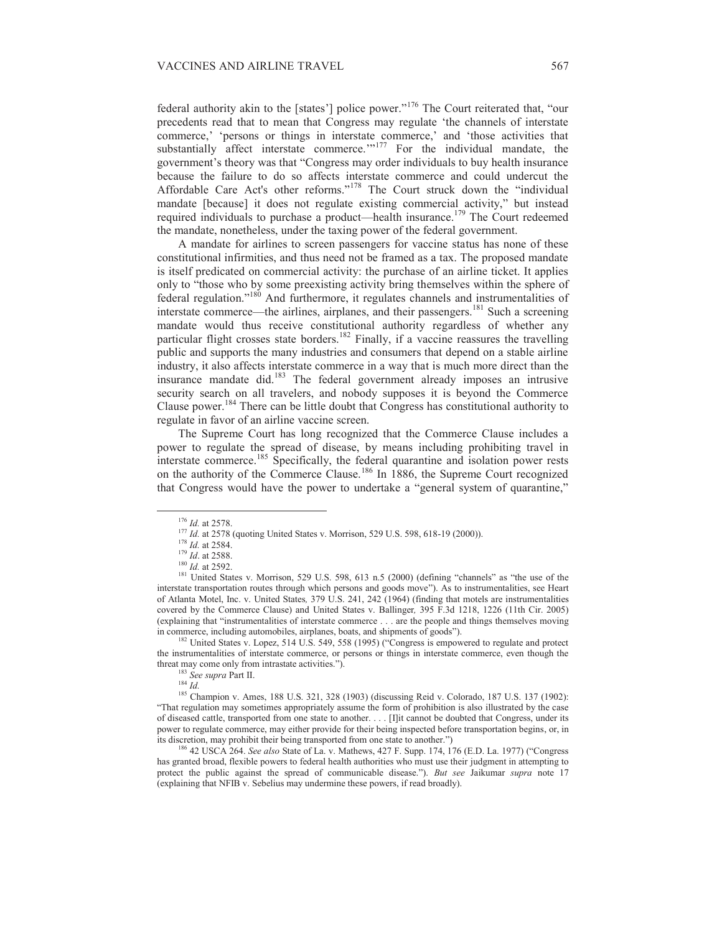federal authority akin to the [states'] police power."<sup>176</sup> The Court reiterated that, "our precedents read that to mean that Congress may regulate 'the channels of interstate commerce,' 'persons or things in interstate commerce,' and 'those activities that substantially affect interstate commerce."<sup>177</sup> For the individual mandate, the government's theory was that "Congress may order individuals to buy health insurance because the failure to do so affects interstate commerce and could undercut the Affordable Care Act's other reforms."<sup>178</sup> The Court struck down the "individual mandate [because] it does not regulate existing commercial activity," but instead required individuals to purchase a product—health insurance.<sup>179</sup> The Court redeemed the mandate, nonetheless, under the taxing power of the federal government.

A mandate for airlines to screen passengers for vaccine status has none of these constitutional infirmities, and thus need not be framed as a tax. The proposed mandate is itself predicated on commercial activity: the purchase of an airline ticket. It applies only to "those who by some preexisting activity bring themselves within the sphere of federal regulation."180 And furthermore, it regulates channels and instrumentalities of interstate commerce—the airlines, airplanes, and their passengers.181 Such a screening mandate would thus receive constitutional authority regardless of whether any particular flight crosses state borders.<sup>182</sup> Finally, if a vaccine reassures the travelling public and supports the many industries and consumers that depend on a stable airline industry, it also affects interstate commerce in a way that is much more direct than the insurance mandate did.183 The federal government already imposes an intrusive security search on all travelers, and nobody supposes it is beyond the Commerce Clause power.184 There can be little doubt that Congress has constitutional authority to regulate in favor of an airline vaccine screen.

The Supreme Court has long recognized that the Commerce Clause includes a power to regulate the spread of disease, by means including prohibiting travel in interstate commerce.<sup>185</sup> Specifically, the federal quarantine and isolation power rests on the authority of the Commerce Clause.<sup>186</sup> In 1886, the Supreme Court recognized that Congress would have the power to undertake a "general system of quarantine,"

<sup>182</sup> United States v. Lopez, 514 U.S. 549, 558 (1995) ("Congress is empowered to regulate and protect the instrumentalities of interstate commerce, or persons or things in interstate commerce, even though the threat may come only from intrastate activities.").

<sup>183</sup> *See supra* Part II. 184 *Id.*

<sup>&</sup>lt;sup>176</sup> *Id.* at 2578.<br><sup>177</sup> *Id.* at 2578 (quoting United States v. Morrison, 529 U.S. 598, 618-19 (2000)).<br><sup>178</sup> *Id.* at 2584.<br><sup>179</sup> *Id.* at 2588.<br><sup>180</sup> *Id.* at 2592.<br><sup>180</sup> *Id.* at 2592.<br><sup>181</sup> United States v. Morriso interstate transportation routes through which persons and goods move"). As to instrumentalities, see Heart of Atlanta Motel, Inc. v. United States*,* 379 U.S. 241, 242 (1964) (finding that motels are instrumentalities covered by the Commerce Clause) and United States v. Ballinger*,* 395 F.3d 1218, 1226 (11th Cir. 2005) (explaining that "instrumentalities of interstate commerce . . . are the people and things themselves moving in commerce, including automobiles, airplanes, boats, and shipments of goods").

<sup>&</sup>lt;sup>185</sup> Champion v. Ames, 188 U.S. 321, 328 (1903) (discussing Reid v. Colorado, 187 U.S. 137 (1902): "That regulation may sometimes appropriately assume the form of prohibition is also illustrated by the case of diseased cattle, transported from one state to another. . . . [I]it cannot be doubted that Congress, under its power to regulate commerce, may either provide for their being inspected before transportation begins, or, in its discretion, may prohibit their being transported from one state to another.")

<sup>186 42</sup> USCA 264. *See also* State of La. v. Mathews, 427 F. Supp. 174, 176 (E.D. La. 1977) ("Congress has granted broad, flexible powers to federal health authorities who must use their judgment in attempting to protect the public against the spread of communicable disease."). *But see* Jaikumar *supra* note 17 (explaining that NFIB v. Sebelius may undermine these powers, if read broadly).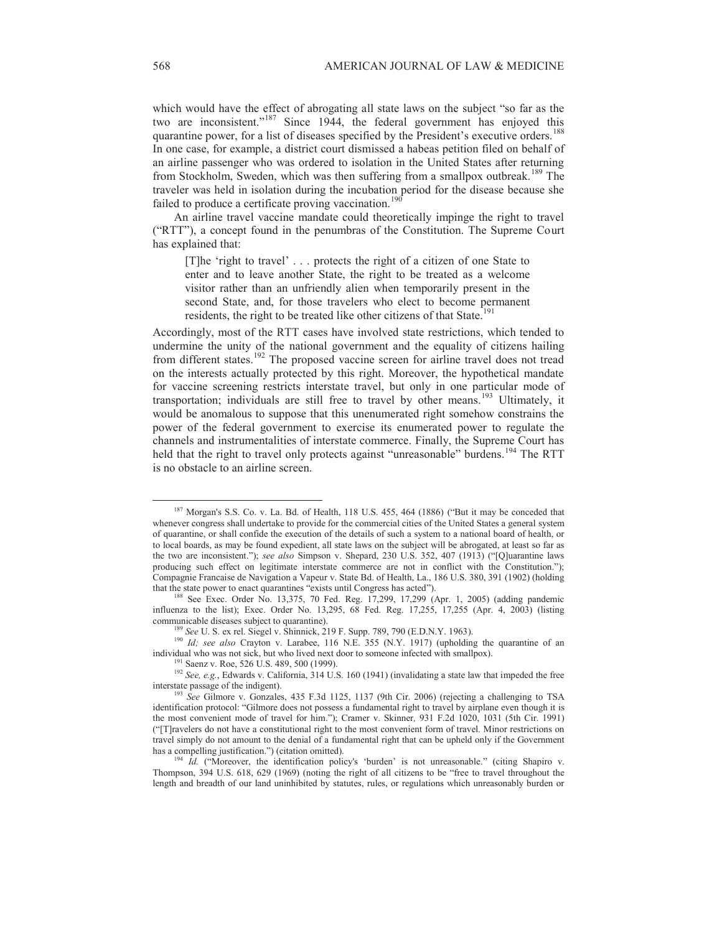which would have the effect of abrogating all state laws on the subject "so far as the two are inconsistent."187 Since 1944, the federal government has enjoyed this quarantine power, for a list of diseases specified by the President's executive orders.<sup>188</sup> In one case, for example, a district court dismissed a habeas petition filed on behalf of an airline passenger who was ordered to isolation in the United States after returning from Stockholm, Sweden, which was then suffering from a smallpox outbreak.<sup>189</sup> The traveler was held in isolation during the incubation period for the disease because she failed to produce a certificate proving vaccination.<sup>190</sup>

An airline travel vaccine mandate could theoretically impinge the right to travel ("RTT"), a concept found in the penumbras of the Constitution. The Supreme Court has explained that:

[T]he 'right to travel' . . . protects the right of a citizen of one State to enter and to leave another State, the right to be treated as a welcome visitor rather than an unfriendly alien when temporarily present in the second State, and, for those travelers who elect to become permanent residents, the right to be treated like other citizens of that State.<sup>191</sup>

Accordingly, most of the RTT cases have involved state restrictions, which tended to undermine the unity of the national government and the equality of citizens hailing from different states.<sup>192</sup> The proposed vaccine screen for airline travel does not tread on the interests actually protected by this right. Moreover, the hypothetical mandate for vaccine screening restricts interstate travel, but only in one particular mode of transportation; individuals are still free to travel by other means.<sup>193</sup> Ultimately, it would be anomalous to suppose that this unenumerated right somehow constrains the power of the federal government to exercise its enumerated power to regulate the channels and instrumentalities of interstate commerce. Finally, the Supreme Court has held that the right to travel only protects against "unreasonable" burdens.<sup>194</sup> The RTT is no obstacle to an airline screen.

<sup>&</sup>lt;sup>187</sup> Morgan's S.S. Co. v. La. Bd. of Health, 118 U.S. 455, 464 (1886) ("But it may be conceded that whenever congress shall undertake to provide for the commercial cities of the United States a general system of quarantine, or shall confide the execution of the details of such a system to a national board of health, or to local boards, as may be found expedient, all state laws on the subject will be abrogated, at least so far as the two are inconsistent."); *see also* Simpson v. Shepard, 230 U.S. 352, 407 (1913) ("[Q]uarantine laws producing such effect on legitimate interstate commerce are not in conflict with the Constitution."); Compagnie Francaise de Navigation a Vapeur v. State Bd. of Health, La., 186 U.S. 380, 391 (1902) (holding that the state power to enact quarantines "exists until Congress has acted").

<sup>&</sup>lt;sup>188</sup> See Exec. Order No. 13,375, 70 Fed. Reg. 17,299, 17,299 (Apr. 1, 2005) (adding pandemic influenza to the list); Exec. Order No. 13,295, 68 Fed. Reg. 17,255, 17,255 (Apr. 4, 2003) (listing communicable diseases subject to quarantine).

<sup>&</sup>lt;sup>189</sup> See U. S. ex rel. Siegel v. Shinnick, 219 F. Supp. 789, 790 (E.D.N.Y. 1963).<br><sup>190</sup> Id: see also Crayton v. Larabee, 116 N.E. 355 (N.Y. 1917) (upholding the quarantine of an

individual who was not sick, but who lived next door to someone infected with smallpox).<br><sup>191</sup> Saenz v. Roe, 526 U.S. 489, 500 (1999).<br><sup>192</sup> *See*, *e.g.*, Edwards v. California, 314 U.S. 160 (1941) (invalidating a state l

<sup>&</sup>lt;sup>193</sup> *See* Gilmore v. Gonzales, 435 F.3d 1125, 1137 (9th Cir. 2006) (rejecting a challenging to TSA identification protocol: "Gilmore does not possess a fundamental right to travel by airplane even though it is the most convenient mode of travel for him."); Cramer v. Skinner*,* 931 F.2d 1020, 1031 (5th Cir. 1991) ("[T]ravelers do not have a constitutional right to the most convenient form of travel. Minor restrictions on travel simply do not amount to the denial of a fundamental right that can be upheld only if the Government has a compelling justification.") (citation omitted).

<sup>&</sup>lt;sup>194</sup> *Id.* ("Moreover, the identification policy's 'burden' is not unreasonable." (citing Shapiro v. Thompson, 394 U.S. 618, 629 (1969) (noting the right of all citizens to be "free to travel throughout the length and breadth of our land uninhibited by statutes, rules, or regulations which unreasonably burden or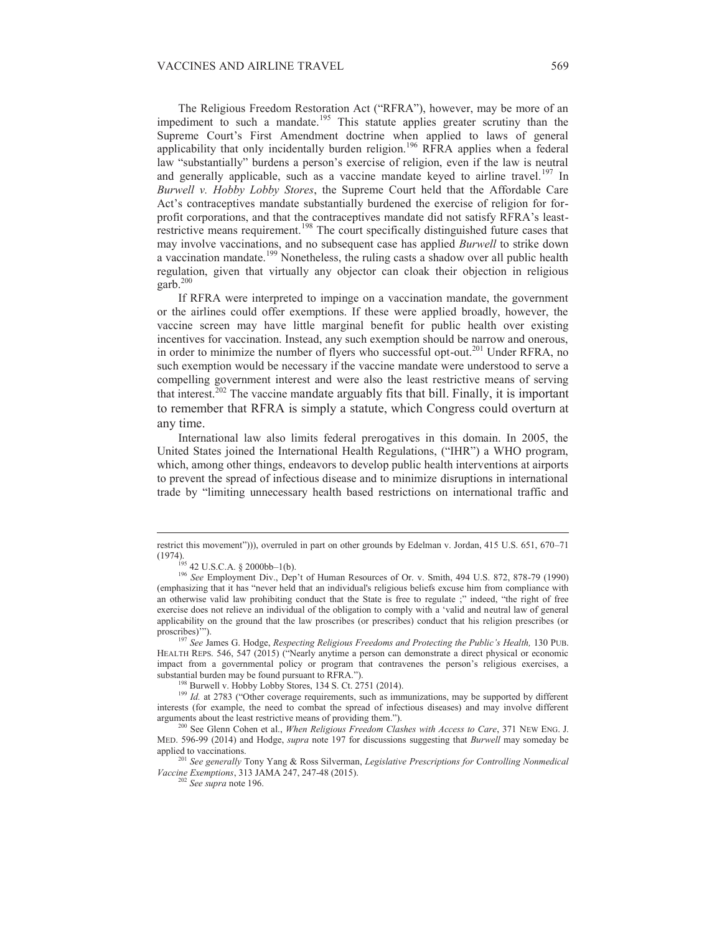The Religious Freedom Restoration Act ("RFRA"), however, may be more of an impediment to such a mandate.<sup>195</sup> This statute applies greater scrutiny than the Supreme Court's First Amendment doctrine when applied to laws of general applicability that only incidentally burden religion.<sup>196</sup> RFRA applies when a federal law "substantially" burdens a person's exercise of religion, even if the law is neutral and generally applicable, such as a vaccine mandate keyed to airline travel.<sup>197</sup> In *Burwell v. Hobby Lobby Stores*, the Supreme Court held that the Affordable Care Act's contraceptives mandate substantially burdened the exercise of religion for forprofit corporations, and that the contraceptives mandate did not satisfy RFRA's leastrestrictive means requirement.198 The court specifically distinguished future cases that may involve vaccinations, and no subsequent case has applied *Burwell* to strike down a vaccination mandate.199 Nonetheless, the ruling casts a shadow over all public health regulation, given that virtually any objector can cloak their objection in religious garb.200

If RFRA were interpreted to impinge on a vaccination mandate, the government or the airlines could offer exemptions. If these were applied broadly, however, the vaccine screen may have little marginal benefit for public health over existing incentives for vaccination. Instead, any such exemption should be narrow and onerous, in order to minimize the number of flyers who successful opt-out.<sup>201</sup> Under RFRA, no such exemption would be necessary if the vaccine mandate were understood to serve a compelling government interest and were also the least restrictive means of serving that interest.<sup>202</sup> The vaccine mandate arguably fits that bill. Finally, it is important to remember that RFRA is simply a statute, which Congress could overturn at any time.

International law also limits federal prerogatives in this domain. In 2005, the United States joined the International Health Regulations, ("IHR") a WHO program, which, among other things, endeavors to develop public health interventions at airports to prevent the spread of infectious disease and to minimize disruptions in international trade by "limiting unnecessary health based restrictions on international traffic and

 $\overline{a}$ 

restrict this movement"))), overruled in part on other grounds by Edelman v. Jordan, 415 U.S. 651, 670–71 (1974).<br><sup>195</sup> 42 U.S.C.A. & 2000bb-1(b).

<sup>&</sup>lt;sup>196</sup> See Employment Div., Dep't of Human Resources of Or. v. Smith, 494 U.S. 872, 878-79 (1990) (emphasizing that it has "never held that an individual's religious beliefs excuse him from compliance with an otherwise valid law prohibiting conduct that the State is free to regulate ;" indeed, "the right of free exercise does not relieve an individual of the obligation to comply with a 'valid and neutral law of general applicability on the ground that the law proscribes (or prescribes) conduct that his religion prescribes (or proscribes)'").

<sup>197</sup> *See* James G. Hodge, *Respecting Religious Freedoms and Protecting the Public's Health,* 130 PUB. HEALTH REPS. 546, 547 (2015) ("Nearly anytime a person can demonstrate a direct physical or economic impact from a governmental policy or program that contravenes the person's religious exercises, a substantial burden may be found pursuant to RFRA.").<br><sup>198</sup> Burwell v. Hobby Lobby Stores, 134 S. Ct. 2751 (2014).

<sup>&</sup>lt;sup>199</sup> Id. at 2783 ("Other coverage requirements, such as immunizations, may be supported by different interests (for example, the need to combat the spread of infectious diseases) and may involve different arguments about the least restrictive means of providing them.").

<sup>200</sup> See Glenn Cohen et al., *When Religious Freedom Clashes with Access to Care*, 371 NEW ENG. J. MED. 596-99 (2014) and Hodge, *supra* note 197 for discussions suggesting that *Burwell* may someday be

<sup>&</sup>lt;sup>201</sup> See generally Tony Yang & Ross Silverman, *Legislative Prescriptions for Controlling Nonmedical Vaccine Exemptions*, 313 JAMA 247, 247-48 (2015). 202 *See supra* note 196.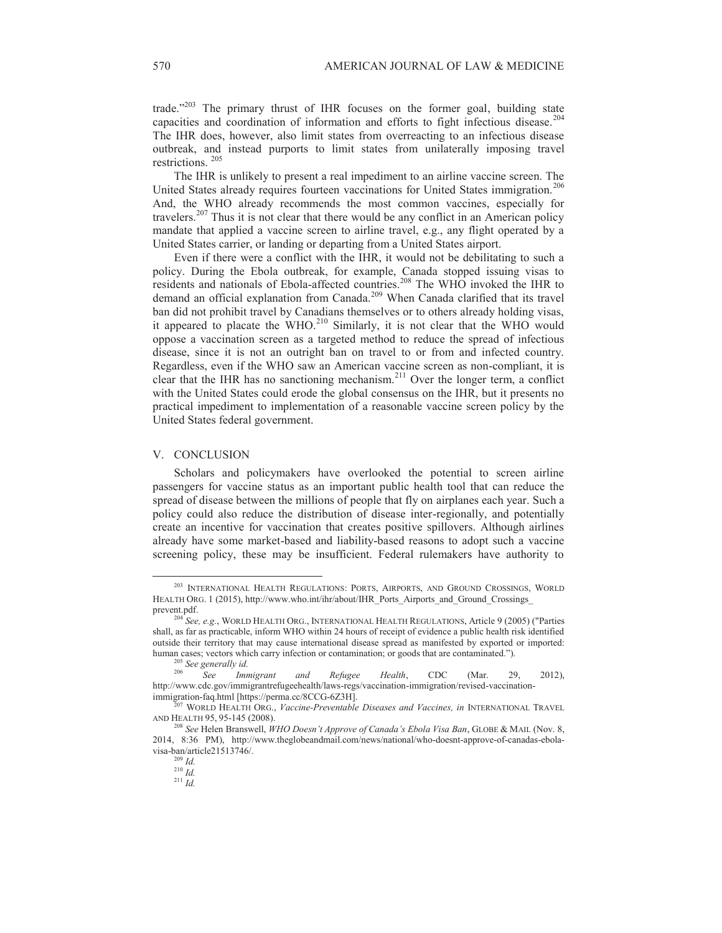trade." $203$  The primary thrust of IHR focuses on the former goal, building state capacities and coordination of information and efforts to fight infectious disease.<sup>204</sup> The IHR does, however, also limit states from overreacting to an infectious disease outbreak, and instead purports to limit states from unilaterally imposing travel restrictions. 205

The IHR is unlikely to present a real impediment to an airline vaccine screen. The United States already requires fourteen vaccinations for United States immigration.<sup>206</sup> And, the WHO already recommends the most common vaccines, especially for travelers.<sup>207</sup> Thus it is not clear that there would be any conflict in an American policy mandate that applied a vaccine screen to airline travel, e.g., any flight operated by a United States carrier, or landing or departing from a United States airport.

Even if there were a conflict with the IHR, it would not be debilitating to such a policy. During the Ebola outbreak, for example, Canada stopped issuing visas to residents and nationals of Ebola-affected countries.208 The WHO invoked the IHR to demand an official explanation from Canada.209 When Canada clarified that its travel ban did not prohibit travel by Canadians themselves or to others already holding visas, it appeared to placate the WHO.<sup>210</sup> Similarly, it is not clear that the WHO would oppose a vaccination screen as a targeted method to reduce the spread of infectious disease, since it is not an outright ban on travel to or from and infected country. Regardless, even if the WHO saw an American vaccine screen as non-compliant, it is clear that the IHR has no sanctioning mechanism.<sup>211</sup> Over the longer term, a conflict with the United States could erode the global consensus on the IHR, but it presents no practical impediment to implementation of a reasonable vaccine screen policy by the United States federal government.

# V. CONCLUSION

Scholars and policymakers have overlooked the potential to screen airline passengers for vaccine status as an important public health tool that can reduce the spread of disease between the millions of people that fly on airplanes each year. Such a policy could also reduce the distribution of disease inter-regionally, and potentially create an incentive for vaccination that creates positive spillovers. Although airlines already have some market-based and liability-based reasons to adopt such a vaccine screening policy, these may be insufficient. Federal rulemakers have authority to

 <sup>203</sup> INTERNATIONAL HEALTH REGULATIONS: PORTS, AIRPORTS, AND GROUND CROSSINGS, WORLD HEALTH ORG. 1 (2015), http://www.who.int/ihr/about/IHR\_Ports\_Airports\_and\_Ground\_Crossings

prevent.pdf. 204 *See, e.g.*, WORLD HEALTH ORG., INTERNATIONAL HEALTH REGULATIONS, Article 9 (2005) ("Parties shall, as far as practicable, inform WHO within 24 hours of receipt of evidence a public health risk identified outside their territory that may cause international disease spread as manifested by exported or imported: human cases; vectors which carry infection or contamination; or goods that are contaminated.").

<sup>205</sup> *See generally id.*

<sup>206</sup> *See Immigrant and Refugee Health*, CDC (Mar. 29, 2012), http://www.cdc.gov/immigrantrefugeehealth/laws-regs/vaccination-immigration/revised-vaccinationimmigration-faq.html [https://perma.cc/8CCG-6Z3H]. 207 WORLD HEALTH ORG., *Vaccine-Preventable Diseases and Vaccines, in* INTERNATIONAL TRAVEL

AND HEALTH 95, 95-145 (2008). 208 *See* Helen Branswell, *WHO Doesn't Approve of Canada's Ebola Visa Ban*, GLOBE & MAIL (Nov. 8,

<sup>2014, 8:36</sup> PM), http://www.theglobeandmail.com/news/national/who-doesnt-approve-of-canadas-ebolavisa-ban/article21513746/.<br> $\frac{^{209} \text{Id}}{^{210} \text{Id}}$ .

 $^{211}$  *Id.*